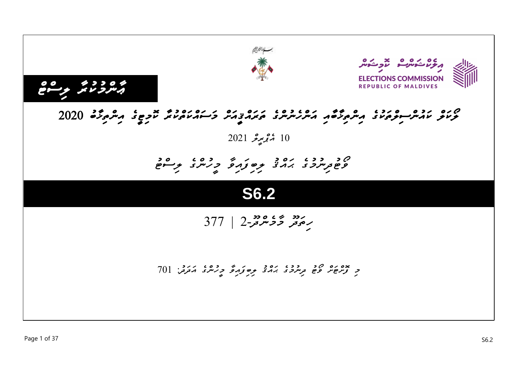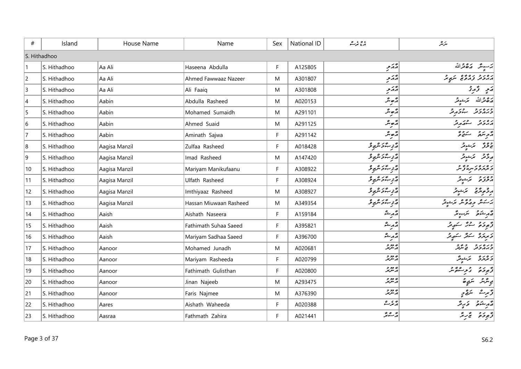| #              | Island       | House Name    | Name                   | Sex       | National ID | ېره پر شه                                                                                           | ىئرىتر                                                                                                         |
|----------------|--------------|---------------|------------------------|-----------|-------------|-----------------------------------------------------------------------------------------------------|----------------------------------------------------------------------------------------------------------------|
|                | S. Hithadhoo |               |                        |           |             |                                                                                                     |                                                                                                                |
|                | S. Hithadhoo | Aa Ali        | Haseena Abdulla        | F         | A125805     | اړۍمنو                                                                                              | ترسيعد ضكاه مذالله                                                                                             |
| $\overline{c}$ | S. Hithadhoo | Aa Ali        | Ahmed Fawwaaz Nazeer   | M         | A301807     | لمجمرمر                                                                                             | رور و رەپە سەپ                                                                                                 |
| $\mathsf{3}$   | S. Hithadhoo | Aa Ali        | Ali Faaiq              | M         | A301808     | وترمز                                                                                               | مأمج ومردفي                                                                                                    |
| 4              | S. Hithadhoo | Aabin         | Abdulla Rasheed        | M         | A020153     | اړځ مر                                                                                              | رة قرالله ترجع                                                                                                 |
| 5              | S. Hithadhoo | Aabin         | Mohamed Sumaidh        | M         | A291101     | اړڻو پر                                                                                             | כנסנכ בנב                                                                                                      |
| $\,$ 6 $\,$    | S. Hithadhoo | Aabin         | Ahmed Suaid            | ${\sf M}$ | A291125     | اړڻو پر                                                                                             | גם גב בגב                                                                                                      |
| $\overline{7}$ | S. Hithadhoo | Aabin         | Aminath Sajwa          | F         | A291142     | ۇ ھەتىر                                                                                             | ړ پر پروه ده                                                                                                   |
| 8              | S. Hithadhoo | Aagisa Manzil | Zulfaa Rasheed         | F         | A018428     | ئ <sub>ەتو</sub> سە ئەسىم ئى                                                                        | ج عربس محر شوتر<br>  سخ عرب محر شوتر                                                                           |
| 9              | S. Hithadhoo | Aagisa Manzil | Imad Rasheed           | M         | A147420     | ئۇ بەئە ئەسىم بۇ                                                                                    | ەرگەر ئەھرىر                                                                                                   |
| 10             | S. Hithadhoo | Aagisa Manzil | Mariyam Manikufaanu    | F         | A308922     | ۇ توبە ئەكەنلىرى ئە                                                                                 | د ه ره د سرد و د                                                                                               |
| 11             | S. Hithadhoo | Aagisa Manzil | Ulfath Rasheed         | F.        | A308924     | ئۇ جەڭ ئىرىم ئى                                                                                     | وور و برَجوتر                                                                                                  |
| 12             | S. Hithadhoo | Aagisa Manzil | Imthiyaaz Rasheed      | M         | A308927     | ئۇ جەنزىقىي ۋ                                                                                       | وده وترمج مرسوقر                                                                                               |
| 13             | S. Hithadhoo | Aagisa Manzil | Hassan Miuwaan Rasheed | M         | A349354     | مۇ ئەسە ئەتتى ئىچى قىلىپ قىلىپ قىلىپ قىلىپ قىلىپ قىلىپ قىلىپ قىلىپ قىلىپ قىلىپ قىلىپ قىلىپ قىلىپ قى | بر کے مگر جرمان کے مشاور کر کر اس کے مگر اسکور کر اس کے مگر اس کے مگر اس کے مگر اس کے مگر اس کا کام کا اس کا ا |
| 14             | S. Hithadhoo | Aaish         | Aishath Naseera        | F         | A159184     | وترمر يثمر                                                                                          | ۇرىشكى سىستىگە                                                                                                 |
| 15             | S. Hithadhoo | Aaish         | Fathimath Suhaa Saeed  | F         | A395821     | وژمریشه                                                                                             | ژُورو در م                                                                                                     |
| 16             | S. Hithadhoo | Aaish         | Mariyam Sadhaa Saeed   | F.        | A396700     | رژمرشه                                                                                              | كالمرمرق اسكاني السكرونر                                                                                       |
| 17             | S. Hithadhoo | Aanoor        | Mohamed Junadh         | M         | A020681     | یر دو و<br>در س                                                                                     | وره رو دورو<br><i>وب</i> رمرو ن <i>و</i> ش                                                                     |
| 18             | S. Hithadhoo | Aanoor        | Mariyam Rasheeda       | F         | A020799     | پر دو و<br>در س                                                                                     | د ۱۶ مر مر مر شونگر                                                                                            |
| 19             | S. Hithadhoo | Aanoor        | Fathimath Gulisthan    | F         | A020800     | یر دو و<br>در سربر                                                                                  | أو برو و وره و در                                                                                              |
| 20             | S. Hithadhoo | Aanoor        | Jinan Najeeb           | M         | A293475     | یر دو و<br>در سربر                                                                                  | و سُرْسْرَ سَرَوٍ صَحْ                                                                                         |
| 21             | S. Hithadhoo | Aanoor        | Faris Najmee           | M         | A376390     | یر دو و<br>در س                                                                                     | ۇبرىش بىرق <sub>ەم</sub>                                                                                       |
| 22             | S. Hithadhoo | Aares         | Aishath Waheeda        | F.        | A020388     | لٹر بئر ہے                                                                                          | أقهر يشكاهم وتمرقد                                                                                             |
| 23             | S. Hithadhoo | Aasraa        | Fathmath Zahira        | F         | A021441     | ېژ شویتر                                                                                            | أزّودَهُ لِمَ بِاللَّهُ                                                                                        |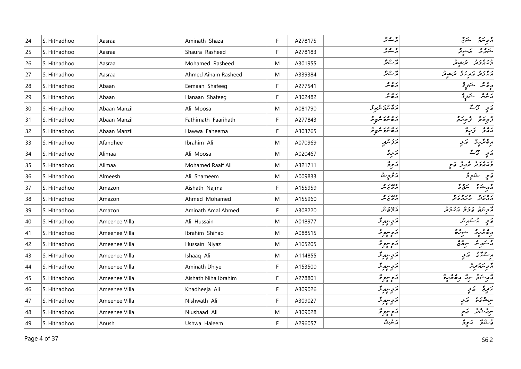| 24 | S. Hithadhoo | Aasraa        | Aminath Shaza        | F  | A278175 | ۇ ھەيچە                                   |                                                                                                         |
|----|--------------|---------------|----------------------|----|---------|-------------------------------------------|---------------------------------------------------------------------------------------------------------|
| 25 | S. Hithadhoo | Aasraa        | Shaura Rasheed       | F. | A278183 | ۇ ھەيۋ                                    | ره چې کې موسیقی<br>سنوه کې کې کې                                                                        |
| 26 | S. Hithadhoo | Aasraa        | Mohamed Rasheed      | M  | A301955 | ېژ شویز                                   | 37073 كرشوند<br><i>3787 كر</i> شوند                                                                     |
| 27 | S. Hithadhoo | Aasraa        | Ahmed Aiham Rasheed  | M  | A339384 | ۇ ھەيۋ                                    | גיבת הגלב וליית                                                                                         |
| 28 | S. Hithadhoo | Abaan         | Eemaan Shafeeg       | F  | A277541 | ىر بۇ ھ                                   | ړ څر شکړ و                                                                                              |
| 29 | S. Hithadhoo | Abaan         | Hanaan Shafeeq       | F  | A302482 | رەپر                                      | ر<br>برنگرنگر خکولو                                                                                     |
| 30 | S. Hithadhoo | Abaan Manzil  | Ali Moosa            | M  | A081790 | ر و مر <sub>ح</sub> مد عربه ع             | أريموا المحر المشكرة                                                                                    |
| 31 | S. Hithadhoo | Abaan Manzil  | Fathimath Faarihath  | F  | A277843 | ر ۋە ئەھ ئىر ئى                           | ومودة ومهدة                                                                                             |
| 32 | S. Hithadhoo | Abaan Manzil  | Hawwa Faheema        | F  | A303765 | ر و مر مر مر و مر است.<br>موه شر مر شر مر | $rac{20}{200}$<br>ترکر پڑ                                                                               |
| 33 | S. Hithadhoo | Afandhee      | Ibrahim Ali          | M  | A070969 | ە ئە ئەھمىيە                              | ە ھەترىرى<br>رەھىرىرى<br>ەتىر                                                                           |
| 34 | S. Hithadhoo | Alimaa        | Ali Moosa            | M  | A020467 | بزود                                      | ړنې د دي.                                                                                               |
| 35 | S. Hithadhoo | Alimaa        | Mohamed Raaif Ali    | M  | A321711 | بزوڈ                                      | ورەرو ئەرو مەر                                                                                          |
| 36 | S. Hithadhoo | Almeesh       | Ali Shameem          | M  | A009833 | رو <sub>وچ</sub> شہ                       | $\begin{array}{cc} \circ & \circ & \circ \\ \circ & \circ & \circ \\ \circ & \circ & \circ \end{array}$ |
| 37 | S. Hithadhoo | Amazon        | Aishath Najma        | F  | A155959 | ى يەر ھ<br>مە <del>ر</del> ىج س           |                                                                                                         |
| 38 | S. Hithadhoo | Amazon        | Ahmed Mohamed        | M  | A155960 | ى يەر ھ<br>مرح تىر                        | נפני כנסני<br>גלבת כלגבת                                                                                |
| 39 | S. Hithadhoo | Amazon        | Aminath Amal Ahmed   | F  | A308220 | ى يەر ھ<br>مرح تىر                        | ה ביימים הסייבית                                                                                        |
| 40 | S. Hithadhoo | Ameenee Villa | Ali Hussain          | M  | A018977 | رَحٍ سرِه ِ تَرَ                          | أصمير في ستوريش                                                                                         |
| 41 | S. Hithadhoo | Ameenee Villa | Ibrahim Shihab       | M  | A088515 | ړَ په پیو د                               |                                                                                                         |
| 42 | S. Hithadhoo | Ameenee Villa | Hussain Niyaz        | M  | A105205 |                                           | لجي ڪريش<br>سرگرمج                                                                                      |
| 43 | S. Hithadhoo | Ameenee Villa | Ishaaq Ali           | M  | A114855 | رَحٍ سرِء ِ قَرْ                          | ارجعيتي<br>رځمني                                                                                        |
| 44 | S. Hithadhoo | Ameenee Villa | Aminath Dhiye        | F  | A153500 |                                           | و سره دره<br>م                                                                                          |
| 45 | S. Hithadhoo | Ameenee Villa | Aishath Niha Ibrahim | F  | A278801 | ېر چه سره د څه<br>ت                       |                                                                                                         |
| 46 | S. Hithadhoo | Ameenee Villa | Khadheeja Ali        | F  | A309026 | اړَ په سره محه<br>سره مور                 | ر<br>ئەرىقى<br>ەنىيە                                                                                    |
| 47 | S. Hithadhoo | Ameenee Villa | Nishwath Ali         | F  | A309027 |                                           | سريشورد<br>ەكىپىيە                                                                                      |
| 48 | S. Hithadhoo | Ameenee Villa | Niushaad Ali         | M  | A309028 | ړَ په پیو د                               | سرو شور                                                                                                 |
| 49 | S. Hithadhoo | Anush         | Ushwa Haleem         | F  | A296057 | ىر تىرىيە                                 | و ده و بر ده                                                                                            |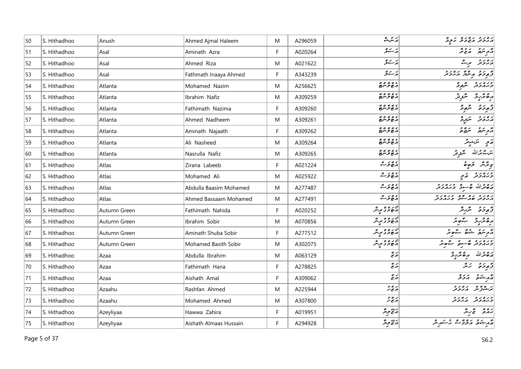| 50 | S. Hithadhoo | Anush        | Ahmed Ajmal Haleem     | M  | A296059 | ىر تىرىشە                         | رورد روره برود                            |
|----|--------------|--------------|------------------------|----|---------|-----------------------------------|-------------------------------------------|
| 51 | S. Hithadhoo | Asal         | Aminath Azra           | F  | A020264 | ىرىسىۋ                            |                                           |
| 52 | S. Hithadhoo | Asal         | Ahmed Riza             | M  | A021622 | ىرىسىۋ                            | رەرد برگ                                  |
| 53 | S. Hithadhoo | Asal         | Fathmath Inaaya Ahmed  | F  | A343239 | ەرىبۇ                             | تحجوجهم مشرقه مهرجعر                      |
| 54 | S. Hithadhoo | Atlanta      | Mohamed Nazim          | M  | A256625 | ى <i>ە بۇ ە بۇ</i>                | ورەر ئە شَھْرُ 2                          |
| 55 | S. Hithadhoo | Atlanta      | Ibrahim Nafiz          | M  | A309259 | ى <i>ە بۇ ە بۇ</i>                | رە ئەر ئىس ئىرىد                          |
| 56 | S. Hithadhoo | Atlanta      | Fathimath Nazima       | F  | A309260 | ى <i>ە بۇ ە بۇ</i>                | و دو شمودٌ                                |
| 57 | S. Hithadhoo | Atlanta      | Ahmed Nadheem          | M  | A309261 | ، ه ۶ و ۶<br>مرغ څرنتړنځ          | د د د سربر د                              |
| 58 | S. Hithadhoo | Atlanta      | Aminath Najaath        | F. | A309262 | ، ه ۶ و ۶<br>مرغ څرنتړنځ          | پر دی ح<br>سرچ ح<br>أثرجه تنبعه           |
| 59 | S. Hithadhoo | Atlanta      | Ali Nasheed            | M  | A309264 | ى <i>ە بۇ</i> «بۇ                 | أركمني الكريشوقر                          |
| 60 | S. Hithadhoo | Atlanta      | Nasrulla Nafiz         | M  | A309265 | ى <i>ە</i> بۇ مۇ                  | <del>ىترب قى</del> راللە ش <i>ۇر قى</i> ر |
| 61 | S. Hithadhoo | Atlas        | Zirana Labeeb          | F  | A021224 | ە ھۆر ھ                           | ى ئۇنىڭ خەھ                               |
| 62 | S. Hithadhoo | Atlas        | Mohamed Ali            | M  | A025922 | ې ئوغ شه<br>مرغ <del>ځ</del> ر شه | ورەرو كې                                  |
| 63 | S. Hithadhoo | Atlas        | Abdulla Baasim Mohamed | M  | A277487 | ە ھۆر ھ                           | ره والله ځ ده د دره د                     |
| 64 | S. Hithadhoo | Atlas        | Ahmed Bassaam Mohamed  | M  | A277491 | ې ھ <sub>ى</sub> ئەت              | נסגב גם שם כגסגב<br>הגבת שה—יב כגהכת      |
| 65 | S. Hithadhoo | Autumn Green | Fathimath Nahida       | F  | A020252 | ە يەھ قىم يېشى<br>مەنبە قىم يېشى  |                                           |
| 66 | S. Hithadhoo | Autumn Green | Ibrahim Sobir          | M  | A070856 | ەرە ە<br>مۇغ دىم يېرىش            |                                           |
| 67 | S. Hithadhoo | Autumn Green | Aminath Shuba Sobir    | F  | A277512 | ەرەە يەر<br>مۇجى ئېرىش            | $\frac{2}{3}$                             |
| 68 | S. Hithadhoo | Autumn Green | Mohamed Basith Sobir   | M  | A302075 | ەرە ەي <sub>م</sub> ىر            |                                           |
| 69 | S. Hithadhoo | Azaa         | Abdulla Ibrahim        | M  | A063129 | بريج                              | مَصْدَاللَّهُ مِصْغَرِ وَ                 |
| 70 | S. Hithadhoo | Azaa         | Fathimath Hana         | F. | A278825 | بريج                              | وٌجوحو رَيْرُ                             |
| 71 | S. Hithadhoo | Azaa         | Aishath Amal           | F  | A309062 | بريج                              | مەرشىق مەرك                               |
| 72 | S. Hithadhoo | Azaahu       | Rashfan Ahmed          | M  | A225944 | بر بو د<br>در س                   | ر ەم ەر دەرد<br>ئىشىۋىل مەردىر            |
| 73 | S. Hithadhoo | Azaahu       | Mohamed Ahmed          | M  | A307800 | بریور                             | כנסנכ נסנכ<br>כגמכנג הגבנג                |
| 74 | S. Hithadhoo | Azeyliyaa    | Hawwa Zahira           | F  | A019951 | ر ،، پر پژ                        | برە ئۆرىتە                                |
| 75 | S. Hithadhoo | Azeyliyaa    | Aishath Almaas Hussain | F. | A294928 | ر ،،<br>د سي مر دگر               | مەيدە رەم قايتى                           |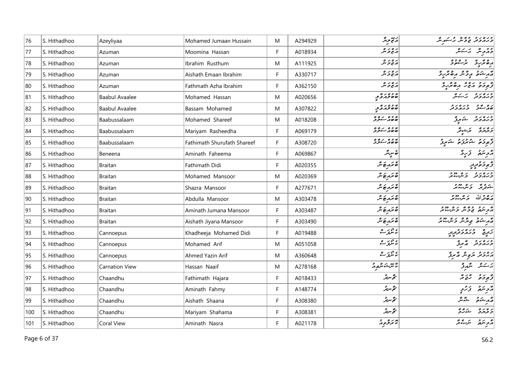| 76  | S. Hithadhoo | Azeyliyaa             | Mohamed Jumaan Hussain      | M           | A294929 | ر ،، پر پژ<br>م                               | ورەر د دوم دىكەر                                |
|-----|--------------|-----------------------|-----------------------------|-------------|---------|-----------------------------------------------|-------------------------------------------------|
| 77  | S. Hithadhoo | Azuman                | Moomina Hassan              | F           | A018934 | ىر 2 بەر<br>م <i>ە</i> بىچ <del>م</del> ىر    | وړولنگ ټر شکس                                   |
| 78  | S. Hithadhoo | Azuman                | Ibrahim Rusthum             | M           | A111925 | ىر ج <sub>ە</sub> ر جە                        | وهتر و د و و و و                                |
| 79  | S. Hithadhoo | Azuman                | Aishath Emaan Ibrahim       | F           | A330717 | ىر <i>ەي</i> ر ھ                              | م مشور و د مه مورد                              |
| 80  | S. Hithadhoo | Azuman                | Fathmath Azha Ibrahim       | $\mathsf F$ | A362150 | ىر 2 خەشر                                     | و و ده د ده د ه و د د                           |
| 81  | S. Hithadhoo | <b>Baabul Avaalee</b> | Mohamed Hassan              | M           | A020656 | په ده رو په<br><i>ماه م</i> رگو               | ورەرو پرىش                                      |
| 82  | S. Hithadhoo | <b>Baabul Avaalee</b> | Bassam Mohamed              | M           | A307822 | ء وه رء<br>م <i>صود و</i> َّح                 | ره دو دره در<br><i>هر</i> سو وبردونر            |
| 83  | S. Hithadhoo | Baabussalaam          | Mohamed Shareef             | M           | A018208 | ه ده د بره<br><i>ه ه</i> ر سرگر               | ورەرو شەرو                                      |
| 84  | S. Hithadhoo | Baabussalaam          | Mariyam Rasheedha           | F           | A069179 | پ <sup>ر و</sup> ه بر ده<br><i>ه ه</i> ر سکور | رەرە برَ شوند                                   |
| 85  | S. Hithadhoo | Baabussalaam          | Fathimath Shurufath Shareef | F           | A308720 | پ <sup>ر و</sup> ه بر ده<br><i>ه ه</i> ر سکور | و و د د د د شمېر د                              |
| 86  | S. Hithadhoo | Beneena               | Aminath Faheema             | F           | A069867 | ءُ <sub>سرينگر</sub>                          | أزويتم وراثر                                    |
| 87  | S. Hithadhoo | <b>Braitan</b>        | Fathimath Didi              | $\mathsf F$ | A020355 | <i>ھىمەغ</i> ىر                               | توجو <i>ح</i> افر من<br>  توجو حافر من          |
| 88  | S. Hithadhoo | <b>Braitan</b>        | Mohamed Mansoor             | M           | A020369 | <i>ھىمەم</i> ۇمۇ                              | כנסנכן כמרכב<br>כממכנק כיתי בי                  |
| 89  | S. Hithadhoo | <b>Braitan</b>        | Shazra Mansoor              | $\mathsf F$ | A277671 | ە ئەرىخ تىر<br>مەمرى <i>غ</i> تىر             | ے واقعہ کے سرب واقعہ میں<br>مشترین کے سرب واقعہ |
| 90  | S. Hithadhoo | <b>Braitan</b>        | Abdulla Mansoor             | M           | A303478 | ە ئەمرى <i>غ</i> ىر                           | رە داللە ئەرەبدىر                               |
| 91  | S. Hithadhoo | <b>Braitan</b>        | Aminath Jumana Mansoor      | $\mathsf F$ | A303487 |                                               |                                                 |
| 92  | S. Hithadhoo | <b>Braitan</b>        | Aishath Jiyana Mansoor      | F           | A303490 | ھ بجرم کھ مگر                                 | أمر مشوه و مرتش و مرجعه                         |
| 93  | S. Hithadhoo | Cannoepus             | Khadheeja Mohamed Didi      | F           | A019488 | ئەتتەرمى                                      | ر<br>ترمرچ دیگردورورو                           |
| 94  | S. Hithadhoo | Cannoepus             | Mohamed Arif                | M           | A051058 | ئەتترىشە                                      | ورەرو ئەير                                      |
| 95  | S. Hithadhoo | Cannoepus             | Ahmed Yazin Arif            | M           | A360648 | ئەتتر ھ                                       | גפיב האיבית האיפר                               |
| 96  | S. Hithadhoo | <b>Carnation View</b> | Hassan Naaif                | M           | A278168 | ە بى <sub>ش</sub> ئەسىرە ئە                   | برسە ئىرو                                       |
| 97  | S. Hithadhoo | Chaandhu              | Fathimath Hajara            | $\mathsf F$ | A018433 | ر<br>کو سربر                                  | وٌ پر د پر پر                                   |
| 98  | S. Hithadhoo | Chaandhu              | Aminath Fahmy               | $\mathsf F$ | A148774 | ر<br>کارسرور                                  | أزويتهم وزحمح                                   |
| 99  | S. Hithadhoo | Chaandhu              | Aishath Shaana              | F           | A308380 | ر<br>کارسولر                                  | مەرشكى شەش                                      |
| 100 | S. Hithadhoo | Chaandhu              | Mariyam Shahama             | F           | A308381 | ر در<br>کار سربر                              | ر ه ر ه<br><del>د</del> بربرگ<br>ے ترقر         |
| 101 | S. Hithadhoo | Coral View            | Aminath Nasra               | F           | A021178 | تتمرعه وحر                                    | أروسي سكرون                                     |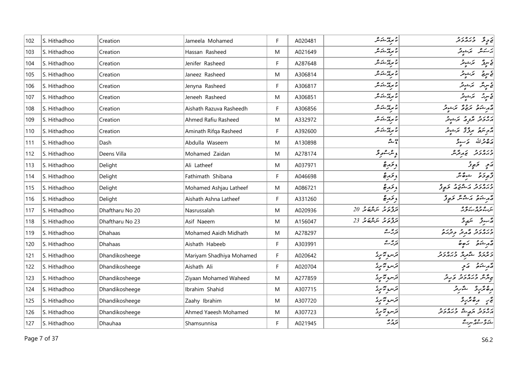| 102 | S. Hithadhoo | Creation        | Jameela Mohamed          | F           | A020481 | ج پر پر شه مګر<br>ما <del>پ</del> ر پر شه مګر | لأولج ورورد                                                                                                                                                                                                                        |
|-----|--------------|-----------------|--------------------------|-------------|---------|-----------------------------------------------|------------------------------------------------------------------------------------------------------------------------------------------------------------------------------------------------------------------------------------|
| 103 | S. Hithadhoo | Creation        | Hassan Rasheed           | M           | A021649 | د<br>پا <sub>سمدا</sub> ر شہ مگر              | ىزىكەش ئىزىدىق                                                                                                                                                                                                                     |
| 104 | S. Hithadhoo | Creation        | Jenifer Rasheed          | E           | A287648 | لابىرە ئەيمە                                  | في سرِرٌ - مَرَسْوِيْر                                                                                                                                                                                                             |
| 105 | S. Hithadhoo | Creation        | Janeez Rasheed           | M           | A306814 | ح بري <sub>شه</sub> مر                        | ء<br>قم <sup>س</sup> ورج<br>ىمەسىسىتىر<br>ئە                                                                                                                                                                                       |
| 106 | S. Hithadhoo | Creation        | Jenyna Rasheed           | F           | A306817 | ر<br>سرگر شه کند                              | ئ <sub>ے سر</sub> یٹر - مرکب کر                                                                                                                                                                                                    |
| 107 | S. Hithadhoo | Creation        | Jeneeh Rasheed           | M           | A306851 | توپر میڈینگر                                  | قے سر <sup>ح</sup> - مَرْشونڈ                                                                                                                                                                                                      |
| 108 | S. Hithadhoo | Creation        | Aishath Razuva Rasheedh  | F           | A306856 | جە يەسىم يىر مە<br>س                          | $\begin{array}{cc} \mathcal{E}_{\mathcal{A}} & \mathcal{E}_{\mathcal{A}} & \mathcal{E}_{\mathcal{A}} \\ \mathcal{E}_{\mathcal{A}} & \mathcal{E}_{\mathcal{A}} & \mathcal{E}_{\mathcal{A}} & \mathcal{E}_{\mathcal{A}} \end{array}$ |
| 109 | S. Hithadhoo | Creation        | Ahmed Rafiu Rasheed      | M           | A332972 | ج بر پر شه مر<br>ما بر <sub>م</sub> ر شه مر   | رەر دىگرو كەشلا                                                                                                                                                                                                                    |
| 110 | S. Hithadhoo | Creation        | Aminath Rifqa Rasheed    | F           | A392600 | ر<br>ئىم ئىرەك شەكىر                          | أأوسم برؤثا بمشوا                                                                                                                                                                                                                  |
| 111 | S. Hithadhoo | Dash            | Abdulla Waseem           | M           | A130898 | اء ۽ ه                                        | أرة قرالله كرسوم                                                                                                                                                                                                                   |
| 112 | S. Hithadhoo | Deens Villa     | Mohamed Zaidan           | M           | A278174 | ، پەر ش <sub>ەر</sub> ئە                      | ورەرو پەرترىر                                                                                                                                                                                                                      |
| 113 | S. Hithadhoo | Delight         | Ali Latheef              | M           | A037971 | $rac{e}{\sqrt{2}}$                            | د دي دي.<br>د دي                                                                                                                                                                                                                   |
| 114 | S. Hithadhoo | Delight         | Fathimath Shibana        | F           | A046698 | وخرموه                                        | $50 - 70$                                                                                                                                                                                                                          |
| 115 | S. Hithadhoo | Delight         | Mohamed Ashjau Latheef   | M           | A086721 | وتزرع                                         | ورەرو رەرو كې                                                                                                                                                                                                                      |
| 116 | S. Hithadhoo | Delight         | Aishath Ashna Latheef    | F           | A331260 | وبخرم                                         | ړې شمې رکامگر کرېږو                                                                                                                                                                                                                |
| 117 | S. Hithadhoo | Dhaftharu No 20 | Nasrussalah              | M           | A020936 | ىرە بەر ئىر ئىرىگە ئىس 20                     | ر <u>ہ وہ</u> بے دہ<br>مزید <i>مرد ج</i> ونچر                                                                                                                                                                                      |
| 118 | S. Hithadhoo | Dhaftharu No 23 | Asif Naeem               | M           | A156047 | رەر د برەرد 23                                | ړُ جو سَمدٍ د                                                                                                                                                                                                                      |
| 119 | S. Hithadhoo | Dhahaas         | Mohamed Aaidh Midhath    | M           | A278297 | تررَّ شہ                                      | כנסנב האת בבנים                                                                                                                                                                                                                    |
| 120 | S. Hithadhoo | Dhahaas         | Aishath Habeeb           | F           | A303991 | تررَّ سَہ                                     | أقرم شكوم بموه                                                                                                                                                                                                                     |
| 121 | S. Hithadhoo | Dhandikosheege  | Mariyam Shadhiya Mohamed | $\mathsf F$ | A020642 | مَدْسُوعٍ مَبِرِهِ                            | גם גם המודעים בינים גדי<br>המחבר שינקות המחבת                                                                                                                                                                                      |
| 122 | S. Hithadhoo | Dhandikosheege  | Aishath Ali              | $\mathsf F$ | A020704 | ا تر سو ت <sup>ع</sup> بر <sup>ی</sup>        | أقهر شدة أقرمي                                                                                                                                                                                                                     |
| 123 | S. Hithadhoo | Dhandikosheege  | Ziyaan Mohamed Waheed    | M           | A277859 | ر<br>مرسد ت <sup>م</sup> یرد                  | به ده دره در در در در در در این کردند.<br>می گریم در مرکز کردند                                                                                                                                                                    |
| 124 | S. Hithadhoo | Dhandikosheege  | Ibrahim Shahid           | M           | A307715 | و سره میم سره<br>م                            | وە ئەر ئۇرۇ                                                                                                                                                                                                                        |
| 125 | S. Hithadhoo | Dhandikosheege  | Zaahy Ibrahim            | M           | A307720 | <br>  قد سر ۽ شريح                            | يځ په موسی <i>ږ</i><br>مخ                                                                                                                                                                                                          |
| 126 | S. Hithadhoo | Dhandikosheege  | Ahmed Yaeesh Mohamed     | M           | A307723 | مَدْسُوعٍ مِعْ مِرِءٌ                         | נסגב גם בנסגב<br>גיבת תקבי בייגבת                                                                                                                                                                                                  |
| 127 | S. Hithadhoo | Dhauhaa         | Shamsunnisa              | F           | A021945 | ر و پ <sub>ر</sub><br>توپر بر                 | شەۋىسە ئەسرىسە                                                                                                                                                                                                                     |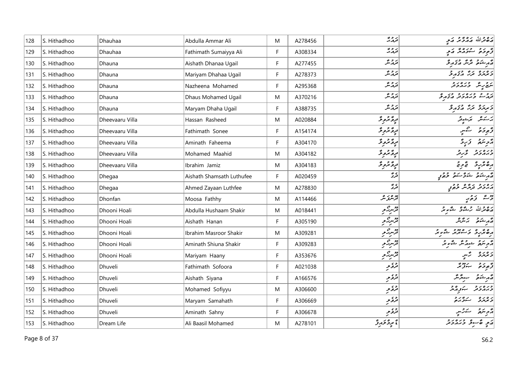| 128 | S. Hithadhoo | Dhauhaa         | Abdulla Ammar Ali          | M           | A278456 | ر و پر<br>توپر بر        |                                                                                                                |
|-----|--------------|-----------------|----------------------------|-------------|---------|--------------------------|----------------------------------------------------------------------------------------------------------------|
| 129 | S. Hithadhoo | Dhauhaa         | Fathimath Sumaiyya Ali     | F           | A308334 | ر و پ<br>ترپر            | وموده معده ومر                                                                                                 |
| 130 | S. Hithadhoo | Dhauna          | Aishath Dhanaa Ugail       | F           | A277455 | ىر جە بىر<br>قىرىر ئىر   | و المسلم المسلم المسلم المسلم المسلم المسلم المسلم المسلم المسلم المسلم المسلم المسلم المسلم المسلم المسلم الم |
| 131 | S. Hithadhoo | Dhauna          | Mariyam Dhahaa Ugail       | F           | A278373 | ىر جە ئىگە<br>قىرىر ئىگ  | د ه د ه د د د د د                                                                                              |
| 132 | S. Hithadhoo | Dhauna          | Nazheena Mohamed           | $\mathsf F$ | A295368 | ىر جە بىر<br>قىرىر ئىر   | بترج بالمراج والمراجع                                                                                          |
| 133 | S. Hithadhoo | Dhauna          | <b>Dhaus Mohamed Ugail</b> | M           | A370216 | ىر جە بىر<br>تىرەر س     | נגב כנסנד כנת                                                                                                  |
| 134 | S. Hithadhoo | Dhauna          | Maryam Dhaha Ugail         | $\mathsf F$ | A388735 | ىر جە بىر<br>قىرىر س     | و برمرو اورام و و برو                                                                                          |
| 135 | S. Hithadhoo | Dheevaaru Villa | Hassan Rasheed             | M           | A020884 | ىرەڭ ئرىر ئە             | ىر<br>بايەسكە ئىكە ئىچە ئەسىر                                                                                  |
| 136 | S. Hithadhoo | Dheevaaru Villa | Fathimath Sonee            | $\mathsf F$ | A154174 | ىر ئۇ ئىر بو ئى          | قەم ئەھمەت كەنبېر                                                                                              |
| 137 | S. Hithadhoo | Dheevaaru Villa | Aminath Faheema            | F           | A304170 | ىر ئۇ ئىر بو ئى          | أأروبتهم وزيرة                                                                                                 |
| 138 | S. Hithadhoo | Dheevaaru Villa | Mohamed Maahid             | M           | A304182 | ىر ئۇ ئىر بو ئى          | ورەر د ئورۇ                                                                                                    |
| 139 | S. Hithadhoo | Dheevaaru Villa | Ibrahim Jamiz              | M           | A304183 | ىر <i>ەڭ ئى</i> رىر ئىگە | و. هنگر د قرح                                                                                                  |
| 140 | S. Hithadhoo | Dhegaa          | Aishath Shamsath Luthufee  | F           | A020459 | ى<br>تىرى                |                                                                                                                |
| 141 | S. Hithadhoo | Dhegaa          | Ahmed Zayaan Luthfee       | M           | A278830 | ى<br>قرى                 |                                                                                                                |
| 142 | S. Hithadhoo | Dhonfan         | Moosa Fathhy               | M           | A114466 | برەپر ھ<br>قرىترى تىر    | $\frac{2}{3}$<br>$\frac{2}{3}$<br>$\frac{2}{3}$                                                                |
| 143 | S. Hithadhoo | Dhooni Hoali    | Abdulla Hushaam Shakir     | M           | A018441 | دو مرگ<br>قرمبرر عر      | $\frac{2}{x}$ $\frac{2}{x}$ $\frac{2}{x}$ $\frac{2}{x}$ $\frac{2}{x}$ $\frac{2}{x}$                            |
| 144 | S. Hithadhoo | Dhooni Hoali    | Aishath Hanan              | F.          | A305190 | دو مرگ<br>قرمبرر مر      | ۇرىشۇ ئەشرىر                                                                                                   |
| 145 | S. Hithadhoo | Dhooni Hoali    | Ibrahim Masroor Shakir     | M           | A309281 | فرمبرر محر               |                                                                                                                |
| 146 | S. Hithadhoo | Dhooni Hoali    | Aminath Shiuna Shakir      | F.          | A309283 | ود مرحمو<br>فرمبرر مر    | أأوسم شرائكم كالربر                                                                                            |
| 147 | S. Hithadhoo | Dhooni Hoali    | Mariyam Haany              | F           | A353676 | قرمبرر<br>قرمبرر         | ترەرە گىر                                                                                                      |
| 148 | S. Hithadhoo | <b>Dhuveli</b>  | Fathimath Sofoora          | $\mathsf F$ | A021038 | قرء محر                  | ىبەددىجە<br>وٌ جو حَر ح                                                                                        |
| 149 | S. Hithadhoo | <b>Dhuveli</b>  | Aishath Siyana             | F           | A166576 | فرة محر                  | ە ئەر ئىككى ئىستارلىش                                                                                          |
| 150 | S. Hithadhoo | Dhuveli         | Mohamed Sofiyyu            | Μ           | A306600 | فرة محر                  | כממכני התנחת                                                                                                   |
| 151 | S. Hithadhoo | Dhuveli         | Maryam Samahath            | $\mathsf F$ | A306669 | فرة محر                  | سەۋىرە<br>ر ه ر ه<br><del>د</del> بربرگ                                                                        |
| 152 | S. Hithadhoo | Dhuveli         | Aminath Sahny              | F           | A306678 | و ،<br>ترڅو مو           | ۇ ئەسكەنچە كەسكەتلىر                                                                                           |
| 153 | S. Hithadhoo | Dream Life      | Ali Baasil Mohamed         | Μ           | A278101 | ۽ <sub>مو</sub> ر عرو    | أرو ځ سو وره ده                                                                                                |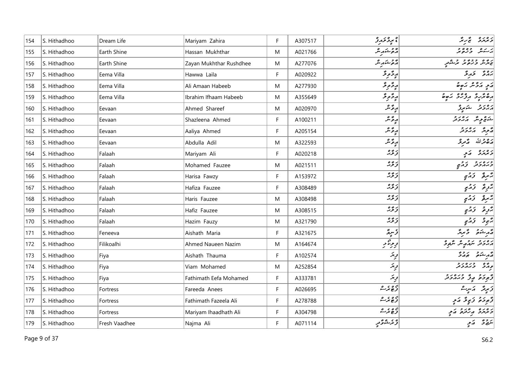| 154 | S. Hithadhoo | Dream Life    | Mariyam Zahira          | F           | A307517 | ۽ <sub>مر</sub> وغه و              | د ۱۵ د مخ رنگ                                                                                                                                                                                                                                                                                                                                                                                                                                                                                             |
|-----|--------------|---------------|-------------------------|-------------|---------|------------------------------------|-----------------------------------------------------------------------------------------------------------------------------------------------------------------------------------------------------------------------------------------------------------------------------------------------------------------------------------------------------------------------------------------------------------------------------------------------------------------------------------------------------------|
| 155 | S. Hithadhoo | Earth Shine   | Hassan Mukhthar         | M           | A021766 | ۇ ئەھمەسىر بىر<br>مەھمەسىر بىر     | بر کے محروم د                                                                                                                                                                                                                                                                                                                                                                                                                                                                                             |
| 156 | S. Hithadhoo | Earth Shine   | Zayan Mukhthar Rushdhee | M           | A277076 | ۇ ئەھمەت ئىرىشى<br>مۇسىسى ئىرىشى   | ر پره د د د و د ه د .<br>مخ ترس و زمر پر بر شوتر                                                                                                                                                                                                                                                                                                                                                                                                                                                          |
| 157 | S. Hithadhoo | Eema Villa    | Hawwa Laila             | F           | A020922 | اړوځ وگخه<br><u>په</u>             | برەق ئەرگ                                                                                                                                                                                                                                                                                                                                                                                                                                                                                                 |
| 158 | S. Hithadhoo | Eema Villa    | Ali Amaan Habeeb        | M           | A277930 | ەر ۋە بە                           |                                                                                                                                                                                                                                                                                                                                                                                                                                                                                                           |
| 159 | S. Hithadhoo | Eema Villa    | Ibrahim Ifhaam Habeeb   | M           | A355649 | وپرځونځه                           |                                                                                                                                                                                                                                                                                                                                                                                                                                                                                                           |
| 160 | S. Hithadhoo | Eevaan        | Ahmed Shareef           | M           | A020970 | و ځمنگر<br>نو                      | رەرد خىرو                                                                                                                                                                                                                                                                                                                                                                                                                                                                                                 |
| 161 | S. Hithadhoo | Eevaan        | Shazleena Ahmed         | $\mathsf F$ | A100211 | ېرغه شر                            | أشوج ويتر أمدونه                                                                                                                                                                                                                                                                                                                                                                                                                                                                                          |
| 162 | S. Hithadhoo | Eevaan        | Aaliya Ahmed            | F           | A205154 | لمرځ مګر                           | أشرجر أيره ورد                                                                                                                                                                                                                                                                                                                                                                                                                                                                                            |
| 163 | S. Hithadhoo | Eevaan        | Abdulla Adil            | M           | A322593 | وپۇنىر                             | أرجع ترالله كمجموعه                                                                                                                                                                                                                                                                                                                                                                                                                                                                                       |
| 164 | S. Hithadhoo | Falaah        | Mariyam Ali             | F           | A020218 | وثره                               | د ۱۶ د په کام                                                                                                                                                                                                                                                                                                                                                                                                                                                                                             |
| 165 | S. Hithadhoo | Falaah        | Mohamed Fauzee          | M           | A021511 | وثره                               | ورورو دو                                                                                                                                                                                                                                                                                                                                                                                                                                                                                                  |
| 166 | S. Hithadhoo | Falaah        | Harisa Fawzy            | F           | A153972 | تر پژو                             | يمبر 1973<br>بالمبرخي أوادي<br>بالمبرغ أوادي                                                                                                                                                                                                                                                                                                                                                                                                                                                              |
| 167 | S. Hithadhoo | Falaah        | Hafiza Fauzee           | $\mathsf F$ | A308489 | تریج ہ                             |                                                                                                                                                                                                                                                                                                                                                                                                                                                                                                           |
| 168 | S. Hithadhoo | Falaah        | Haris Fauzee            | M           | A308498 | تریج ہ                             | $\begin{array}{c c c c c} \hline & & & & & \\ \hline & & & & & \\ \hline & & & & & \\ \hline & & & & & \\ \hline & & & & & \\ \hline & & & & & \\ \hline & & & & & \\ \hline & & & & & \\ \hline & & & & & \\ \hline & & & & & \\ \hline & & & & & \\ \hline & & & & & \\ \hline & & & & & \\ \hline & & & & & \\ \hline & & & & & \\ \hline & & & & & \\ \hline & & & & & & \\ \hline & & & & & & \\ \hline & & & & & & \\ \hline & & & & & & \\ \hline & & & & & & \\ \hline & & & & & & \\ \$<br>تزوجي |
| 169 | S. Hithadhoo | Falaah        | Hafiz Fauzee            | M           | A308515 | تریژه                              | ترترمج                                                                                                                                                                                                                                                                                                                                                                                                                                                                                                    |
| 170 | S. Hithadhoo | Falaah        | Hazim Fauzy             | M           | A321790 | ۇ ئۇر                              |                                                                                                                                                                                                                                                                                                                                                                                                                                                                                                           |
| 171 | S. Hithadhoo | Feneeva       | Aishath Maria           | F           | A321675 | ئۈسرەتە                            |                                                                                                                                                                                                                                                                                                                                                                                                                                                                                                           |
| 172 | S. Hithadhoo | Filikoalhi    | Ahmed Naueen Nazim      | M           | A164674 | وبورثاء                            | برەرد بىرتمپىر شۆر                                                                                                                                                                                                                                                                                                                                                                                                                                                                                        |
| 173 | S. Hithadhoo | Fiya          | Aishath Thauma          | F           | A102574 | ويز                                |                                                                                                                                                                                                                                                                                                                                                                                                                                                                                                           |
| 174 | S. Hithadhoo | Fiya          | Viam Mohamed            | M           | A252854 | ويز                                | وره وره دو                                                                                                                                                                                                                                                                                                                                                                                                                                                                                                |
| 175 | S. Hithadhoo | Fiya          | Fathimath Eefa Mohamed  | F           | A333781 | ويز                                | توجده وتقدم وبره در                                                                                                                                                                                                                                                                                                                                                                                                                                                                                       |
| 176 | S. Hithadhoo | Fortress      | Fareeda Anees           | $\mathsf F$ | A026695 | اء ۾ ۽ م                           | ۇ بوقە كەسپەش                                                                                                                                                                                                                                                                                                                                                                                                                                                                                             |
| 177 | S. Hithadhoo | Fortress      | Fathimath Fazeela Ali   | F           | A278788 | م <i>ہ</i> ء بر م                  | وٌودَهُ وَيَءُ مَدٍ                                                                                                                                                                                                                                                                                                                                                                                                                                                                                       |
| 178 | S. Hithadhoo | Fortress      | Mariyam Ihaadhath Ali   | F           | A304798 | ژڇ پر مه                           | وبمهزو مرتزه كمع                                                                                                                                                                                                                                                                                                                                                                                                                                                                                          |
| 179 | S. Hithadhoo | Fresh Vaadhee | Najma Ali               | F           | A071114 | و <sub>تر</sub> شرقر <sub>مر</sub> | برة ويمو                                                                                                                                                                                                                                                                                                                                                                                                                                                                                                  |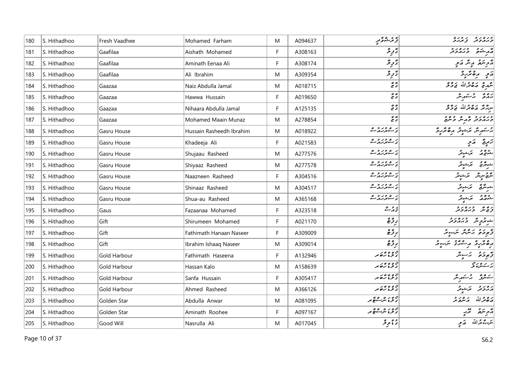| 180 | S. Hithadhoo  | Fresh Vaadhee       | Mohamed Farham           | M           | A094637 | ویمشوگور                                     | ورەر د درە<br><i>دى</i> رمەن <mark>زى</mark> رىد                                                                                                                                                        |
|-----|---------------|---------------------|--------------------------|-------------|---------|----------------------------------------------|---------------------------------------------------------------------------------------------------------------------------------------------------------------------------------------------------------|
| 181 | S. Hithadhoo  | Gaafilaa            | Aishath Mohamed          | F           | A308163 | تۇ تو تۇ                                     | و بر ه بر و<br>تر بر بر تر<br>و.<br>در کار شوی                                                                                                                                                          |
| 182 | S. Hithadhoo  | Gaafilaa            | Aminath Eenaa Ali        | F           | A308174 | ءِ <sub>وِ وَ</sub>                          | ومحافظه والمتمر وكمع                                                                                                                                                                                    |
| 183 | S. Hithadhoo  | Gaafilaa            | Ali Ibrahim              | M           | A309354 | تۇ توقى                                      | ړې ره ټرو                                                                                                                                                                                               |
| 184 | S. Hithadhoo  | Gaazaa              | Naiz Abdulla Jamal       | M           | A018715 | پخ مخ                                        | شَرْحِ حَدَّدَاللَّهُ مَحَرَّدَ                                                                                                                                                                         |
| 185 | S. Hithadhoo  | Gaazaa              | Hawwa Hussain            | F           | A019650 | ر مح<br>مح                                   | برە ئەسىمبە                                                                                                                                                                                             |
| 186 | S. Hithadhoo  | Gaazaa              | Nihaara Abdulla Jamal    | $\mathsf F$ | A125135 | ر<br>ئىسى                                    | سرج بحر وحرالله محرفر                                                                                                                                                                                   |
| 187 | S. Hithadhoo  | Gaazaa              | Mohamed Maain Munaz      | M           | A278854 | و مح<br>ک                                    | ورەرو ۋړىگە ويۇم                                                                                                                                                                                        |
| 188 | S. Hithadhoo  | Gasru House         | Hussain Rasheedh Ibrahim | M           | A018922 | ىر ھە <del>ي</del> رىر ھ                     | ر<br>رئیس کر کر استان میں کر دیا ہے۔<br>رئیس کر استانی                                                                                                                                                  |
| 189 | lS. Hithadhoo | Gasru House         | Khadeeja Ali             | F           | A021583 | ر ە دىر د ە                                  | تزمرقے کام کی                                                                                                                                                                                           |
| 190 | S. Hithadhoo  | Gasru House         | Shujaau Rasheed          | M           | A277576 | ىر ھە <del>ي</del> رىر ھ                     | $\begin{array}{cc} \mathcal{I}_{\mathcal{I}} & \mathcal{I}_{\mathcal{I}} \\ \mathcal{I}_{\mathcal{I}} & \mathcal{I}_{\mathcal{I}} \\ \mathcal{I}_{\mathcal{I}} & \mathcal{I}_{\mathcal{I}} \end{array}$ |
| 191 | lS. Hithadhoo | Gasru House         | Shiyaaz Rasheed          | M           | A277578 | ىر ھە <del>ي</del> رىر ھ                     | ے وگر ح<br>ىمەسىيەتىر<br>ئ                                                                                                                                                                              |
| 192 | S. Hithadhoo  | Gasru House         | Naazneen Rasheed         | F           | A304516 | ىر ھە <del>ي</del> رىر ھ                     | لتريخ سرينك التركسونى                                                                                                                                                                                   |
| 193 | lS. Hithadhoo | Gasru House         | Shinaaz Rasheed          | M           | A304517 | ىر ھە <del>ي</del> رىر ھ                     | خوشركا المحركومر                                                                                                                                                                                        |
| 194 | S. Hithadhoo  | Gasru House         | Shua-au Rasheed          | M           | A365168 | ىر ھە <del>ي</del> رىر ھ                     | شەھرە ئەسىرىمە                                                                                                                                                                                          |
| 195 | S. Hithadhoo  | Gaus                | Fazaanaa Mohamed         | F           | A323518 | ئۇر مە                                       | د په پېړه د د                                                                                                                                                                                           |
| 196 | S. Hithadhoo  | Gift                | Shirumeen Mohamed        | F           | A021170 | بروه                                         | جوهر ويرورو                                                                                                                                                                                             |
| 197 | lS. Hithadhoo | Gift                | Fathimath Hanaan Naseer  | F           | A309009 | بروه                                         | أوالمحج والمحافظ الكرسومي                                                                                                                                                                               |
| 198 | S. Hithadhoo  | Gift                | Ibrahim Ishaaq Naseer    | M           | A309014 | روه                                          | גם ג'וב גיבוג בי יציב ב                                                                                                                                                                                 |
| 199 | S. Hithadhoo  | <b>Gold Harbour</b> | Fathimath Haseena        | $\mathsf F$ | A132946 | ە ە ە » ر<br>ئەنزىي شەھ بىر                  | ۇ بۇرۇ بەسىش                                                                                                                                                                                            |
| 200 | S. Hithadhoo  | <b>Gold Harbour</b> | Hassan Kalo              | M           | A158639 | ە ە ە » ر<br>ئەمەنە شەھ بىر                  | ىر ئەندىر <i>ە</i>                                                                                                                                                                                      |
| 201 | S. Hithadhoo  | Gold Harbour        | Sanfa Hussain            | F           | A305417 | ہ ہ ہ و پر<br>بر موج ش <b>ڪ</b> مر           | سەھدى برخىمەسىر                                                                                                                                                                                         |
| 202 | S. Hithadhoo  | Gold Harbour        | Ahmed Rasheed            | M           | A366126 | ہ ہ ہ ء ۔<br>  د م د د ص مر                  | ره رو پر سره<br>  د بر د تر سومر                                                                                                                                                                        |
| 203 | S. Hithadhoo  | Golden Star         | Abdulla Anwar            | M           | A081095 | <i>? ه ر</i> ه رعيځ پر                       | برە تراللە<br>ەر ھەير                                                                                                                                                                                   |
| 204 | S. Hithadhoo  | Golden Star         | Aminath Roohee           | F           | A097167 | <i>? و ر</i> ي شرع تھ<br>د محر ۽ مٿر شوڪ پير | ړځ سرچ<br>جزبر                                                                                                                                                                                          |
| 205 | S. Hithadhoo  | Good Will           | Nasrulla Ali             | M           | A017045 | د و و ژ                                      | بترجيحه لله وكحيح                                                                                                                                                                                       |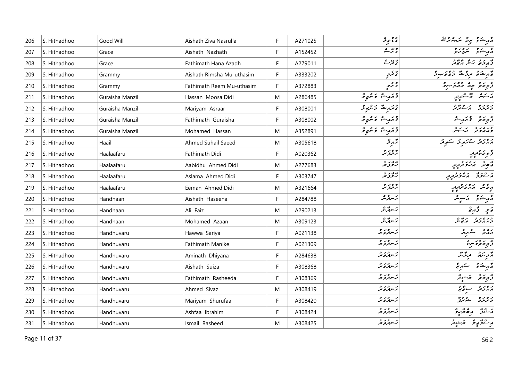| 206 | S. Hithadhoo | Good Will       | Aishath Ziva Nasrulla     | F         | A271025 | لوه وع                                | قەرشىق بىرقە تىر جىمەللە                                                                                                                                                                                                       |
|-----|--------------|-----------------|---------------------------|-----------|---------|---------------------------------------|--------------------------------------------------------------------------------------------------------------------------------------------------------------------------------------------------------------------------------|
| 207 | S. Hithadhoo | Grace           | Aishath Nazhath           | F         | A152452 | ە يە ھ                                | و مشرح سرور و                                                                                                                                                                                                                  |
| 208 | S. Hithadhoo | Grace           | Fathimath Hana Azadh      | F         | A279011 | ە يىمە ھ                              | و دو ره په دوو                                                                                                                                                                                                                 |
| 209 | S. Hithadhoo | Grammy          | Aishath Rimsha Mu-uthasim | F         | A333202 | ه محرحه<br>  د محرحه                  | وأرشكم بروشة ووركوب                                                                                                                                                                                                            |
| 210 | S. Hithadhoo | Grammy          | Fathimath Reem Mu-uthasim | F         | A372883 | ه ء چ                                 |                                                                                                                                                                                                                                |
| 211 | S. Hithadhoo | Guraisha Manzil | Hassan Moosa Didi         | M         | A286485 | تجتمدينة وتثبوقه                      | پر سے مشتر محمد سے حاصر سے اپنے کے ایسے مختلف کے ایسے کے ایسے کے ایسے کے ایسے کے ایسے کے ایسے کے ایسے کے ایس<br>مشترک کے سیاست کے ایسے کے ایسے کے ایسے کے ایسے کے ایسے کے ایسے کے باہر کے باہر کے باہر کے باہر کے باہر کے باہر |
| 212 | S. Hithadhoo | Guraisha Manzil | Mariyam Asraar            | F         | A308001 | تخترميش وتربي                         |                                                                                                                                                                                                                                |
| 213 | S. Hithadhoo | Guraisha Manzil | Fathimath Guraisha        | F         | A308002 | تخترمث وتربي                          | وَجِوحَةٍ تَحْتَمَهِ شَهَّ                                                                                                                                                                                                     |
| 214 | S. Hithadhoo | Guraisha Manzil | Mohamed Hassan            | ${\sf M}$ | A352891 | تۆتەرىش كەنگەپى                       | ورەرو پرىكى                                                                                                                                                                                                                    |
| 215 | S. Hithadhoo | Haail           | Ahmed Suhail Saeed        | M         | A305618 | ٿرم ٿو.                               | رەرد ئىرىدۇ ئىھە                                                                                                                                                                                                               |
| 216 | S. Hithadhoo | Haalaafaru      | Fathimath Didi            | F         | A020362 | ژ ژ ژ ژ                               |                                                                                                                                                                                                                                |
| 217 | S. Hithadhoo | Haalaafaru      | Aabidhu Ahmed Didi        | M         | A277683 | ترتۇترىتى                             |                                                                                                                                                                                                                                |
| 218 | S. Hithadhoo | Haalaafaru      | Aslama Ahmed Didi         | F         | A303747 | ژ ژ ژ ژ                               |                                                                                                                                                                                                                                |
| 219 | S. Hithadhoo | Haalaafaru      | Eeman Ahmed Didi          | ${\sf M}$ | A321664 | بر پیمر بر<br>تر <del>گ</del> رنو تنر | رځمر رووژونو                                                                                                                                                                                                                   |
| 220 | S. Hithadhoo | Handhaan        | Aishath Haseena           | F         | A284788 | ئەس <i>ەرگەن</i> گە                   |                                                                                                                                                                                                                                |
| 221 | S. Hithadhoo | Handhaan        | Ali Faiz                  | ${\sf M}$ | A290213 | ر<br>سر پر بگر                        | $\begin{array}{cc} \circ & \circ \\ \circ & \circ \end{array}$                                                                                                                                                                 |
| 222 | S. Hithadhoo | Handhaan        | Mohamed Azaan             | M         | A309123 | ئەس <i>ەرگەن</i> گە                   | כנסנכ נשם                                                                                                                                                                                                                      |
| 223 | S. Hithadhoo | Handhuvaru      | Hawwa Sariya              | F         | A021138 | ر سرچ ر حر<br>تر سرچر تحر             | رەپ شىر                                                                                                                                                                                                                        |
| 224 | S. Hithadhoo | Handhuvaru      | Fathimath Manike          | F         | A021309 | ر سرچ ر حر<br>تر سرچر <i>ج</i> ر      | ا تو بر دیگر<br>اگر بر حرکت مریکا                                                                                                                                                                                              |
| 225 | S. Hithadhoo | Handhuvaru      | Aminath Dhiyana           | F         | A284638 | ر سرچ ر حر<br>تر سرچر <i>ج</i> ر      | ړٌ پر سَر په پر پر پر                                                                                                                                                                                                          |
| 226 | S. Hithadhoo | Handhuvaru      | Aishath Suiza             | F         | A308368 | ر سرچ ر حر<br>تر سرچر <i>ج</i> ر      | و مشور مشورد.<br>مدرستور                                                                                                                                                                                                       |
| 227 | S. Hithadhoo | Handhuvaru      | Fathimath Rasheeda        | F         | A308369 | ر سرچ ر حر<br>تر سرچر <i>ج</i> ر      | وتحج وكالمحمد مركب وتكر                                                                                                                                                                                                        |
| 228 | S. Hithadhoo | Handhuvaru      | Ahmed Sivaz               | M         | A308419 | ر سرچ ر ح<br>ر سرچر <i>ي پر</i>       | أرور والمحمد                                                                                                                                                                                                                   |
| 229 | S. Hithadhoo | Handhuvaru      | Mariyam Shurufaa          | F         | A308420 | ر<br>ترسر پژوکو مر                    | ر و ر و و و و د<br>تر پربرتر مشویمرتر                                                                                                                                                                                          |
| 230 | S. Hithadhoo | Handhuvaru      | Ashfaa Ibrahim            | F         | A308424 | ر سرچر چر                             | ېر ھې تر په د<br>ېز شوتق                                                                                                                                                                                                       |
| 231 | S. Hithadhoo | Handhuvaru      | Ismail Rasheed            | ${\sf M}$ | A308425 | ر<br>ترسرپوتو تر                      | پرسادگار پی کا کار کے برائندوں                                                                                                                                                                                                 |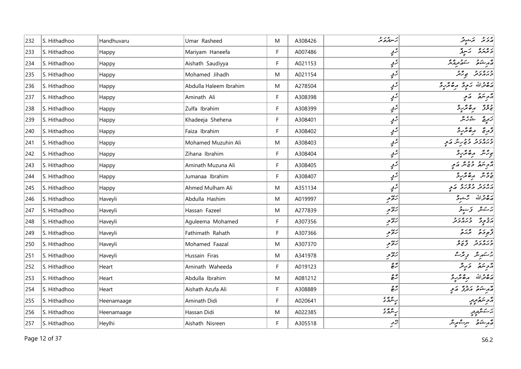| 232 | S. Hithadhoo | Handhuvaru | Umar Rasheed           | M         | A308426 | ر سرچ ر حر<br>تر سرچر تحر                          | أروم ترجيع                   |
|-----|--------------|------------|------------------------|-----------|---------|----------------------------------------------------|------------------------------|
| 233 | S. Hithadhoo | Happy      | Mariyam Haneefa        | F         | A007486 | ر<br>ربي                                           | دەرە ئەيد                    |
| 234 | S. Hithadhoo | Happy      | Aishath Saudiyya       | F         | A021153 | ایپ                                                | و د شوه در د دره در م        |
| 235 | S. Hithadhoo | Happy      | Mohamed Jihadh         | M         | A021154 | ي<br>مربي                                          | ورور و ور                    |
| 236 | S. Hithadhoo | Happy      | Abdulla Haleem Ibrahim | ${\sf M}$ | A278504 | ایم په                                             | برە داللە ئەردە برەتمەرد     |
| 237 | S. Hithadhoo | Happy      | Aminath Ali            | F         | A308398 | اپنې                                               | أزجر سنتمر أأتمني            |
| 238 | S. Hithadhoo | Happy      | Zulfa Ibrahim          | F         | A308399 | انجلجي                                             |                              |
| 239 | S. Hithadhoo | Happy      | Khadeeja Shehena       | F         | A308401 | ې<br>ريمني                                         | ر <i>ُ مِيعُ ڪُرُنگ</i>      |
| 240 | S. Hithadhoo | Happy      | Faiza Ibrahim          | F         | A308402 | ایمپ                                               |                              |
| 241 | S. Hithadhoo | Happy      | Mohamed Muzuhin Ali    | M         | A308403 | ای<br>گیلیج                                        |                              |
| 242 | S. Hithadhoo | Happy      | Zihana Ibrahim         | F         | A308404 | ي<br>مربي                                          | پرتىش مەھىر بەر              |
| 243 | S. Hithadhoo | Happy      | Aminath Muzuna Ali     | F         | A308405 | ي<br>مربي                                          | أدويتم ووالديد               |
| 244 | S. Hithadhoo | Happy      | Jumanaa Ibrahim        | F         | A308407 | ایمپ                                               | ادومر م <i>ورد</i>           |
| 245 | S. Hithadhoo | Happy      | Ahmed Mulham Ali       | M         | A351134 | ای<br>ای                                           | ره رو وه ره د کرم            |
| 246 | S. Hithadhoo | Haveyli    | Abdulla Hashim         | M         | A019997 | رەيە<br>رەبىر                                      | رەقراللە گەخەر               |
| 247 | S. Hithadhoo | Haveyli    | Hassan Fazeel          | ${\sf M}$ | A277839 | رەيە                                               | يەسكەنى كى <sub>كى</sub> رى  |
| 248 | S. Hithadhoo | Haveyli    | Aguleema Mohamed       | F         | A307356 | رەيج                                               | دیکھیے دیں دیے               |
| 249 | S. Hithadhoo | Haveyli    | Fathimath Rahath       | F         | A307366 | رەيج                                               | و در در در                   |
| 250 | S. Hithadhoo | Haveyli    | Mohamed Faazal         | ${\sf M}$ | A307370 | رەيە                                               | ورەر دىرە                    |
| 251 | S. Hithadhoo | Haveyli    | Hussain Firas          | M         | A341978 | رَءَ م                                             | يزستهرش ويترك                |
| 252 | S. Hithadhoo | Heart      | Aminath Waheeda        | F         | A019123 | $\overset{o}{\mathcal{E}}\overset{o}{\mathcal{L}}$ | أأدبتكم وكبائر               |
| 253 | S. Hithadhoo | Heart      | Abdulla Ibrahim        | M         | A081212 | رَّحْ                                              | أرة قرالله مصريح             |
| 254 | S. Hithadhoo | Heart      | Aishath Azufa Ali      | F         | A308889 | $e^z$                                              | وأمر جنكم أوادقي أوالمح      |
| 255 | S. Hithadhoo | Heenamaage | Aminath Didi           | F         | A020641 | ر پر پیمبری<br>پر پنتر <del>و</del> ی              | و<br>د گرمنگورنر<br>مسلم کو  |
| 256 | S. Hithadhoo | Heenamaage | Hassan Didi            | M         | A022385 | ر پژو <sup>ي</sup>                                 | ئەسكەنگەرىد<br>  ئەسكەنگەرىد |
| 257 | S. Hithadhoo | Heylhi     | Aishath Nisreen        | F         | A305518 | امیں<br>پہ                                         | أقم مشكرة المستحمية          |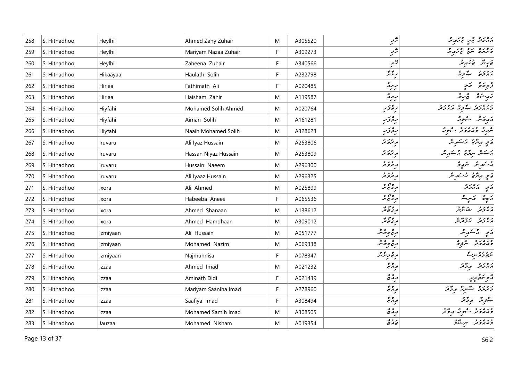| 258 | S. Hithadhoo | Heylhi   | Ahmed Zahy Zuhair    | M  | A305520 | ر<br>مرمو                       | أزود و عمر محركته محمد                                                                                        |
|-----|--------------|----------|----------------------|----|---------|---------------------------------|---------------------------------------------------------------------------------------------------------------|
| 259 | S. Hithadhoo | Heylhi   | Mariyam Nazaa Zuhair | F  | A309273 | ر<br>مرعر                       |                                                                                                               |
| 260 | S. Hithadhoo | Heylhi   | Zaheena Zuhair       | F. | A340566 | امیں<br>اسلمبر                  | ىم پەنتى ئەم ئەرىتى                                                                                           |
| 261 | S. Hithadhoo | Hikaayaa | Haulath Solih        | F  | A232798 | رءٌ پُر                         | برور و عمور                                                                                                   |
| 262 | S. Hithadhoo | Hiriaa   | Fathimath Ali        | F  | A020485 | برمزد                           | و محمد الله من الله من الله من                                                                                |
| 263 | S. Hithadhoo | Hiriaa   | Haisham Zahir        | M  | A119587 | ىر بىردىگە                      | كهرك والمحركر                                                                                                 |
| 264 | S. Hithadhoo | Hiyfahi  | Mohamed Solih Ahmed  | M  | A020764 | رە ئەر                          | ورەرو پەرو رەرو                                                                                               |
| 265 | S. Hithadhoo | Hiyfahi  | Aiman Solih          | M  | A161281 | ىرە ئەسر                        | أترمر تحوير                                                                                                   |
| 266 | S. Hithadhoo | Hiyfahi  | Naaih Mohamed Solih  | M  | A328623 | ىرە ئەسر                        | شمر وروده به به ده                                                                                            |
| 267 | S. Hithadhoo | Iruvaru  | Ali Iyaz Hussain     | M  | A253806 | بربردير                         | أرو مرتزی بر شهر مر                                                                                           |
| 268 | S. Hithadhoo | Iruvaru  | Hassan Niyaz Hussain | M  | A253809 | وبره بر                         | يركسك سروج بركسرهر                                                                                            |
| 269 | S. Hithadhoo | Iruvaru  | Hussain Naeem        | M  | A296300 | مرتزء تر                        | بر کے مرکز میں اسکار کے مالک کے مالک کے مالک کے میں ان کے مالک کے میں ان کے میں ان کے مالک کے مالک کے مالک کے |
| 270 | S. Hithadhoo | Iruvaru  | Ali Iyaaz Hussain    | M  | A296325 | بربردير                         | مو مترج بر شهر ش                                                                                              |
| 271 | S. Hithadhoo | Ixora    | Ali Ahmed            | M  | A025899 | ەرىجە ئىر                       |                                                                                                               |
| 272 | S. Hithadhoo | Ixora    | Habeeba Anees        | F  | A065536 | $rac{1}{2}$                     | أيا وه أو أمريك المركب                                                                                        |
| 273 | S. Hithadhoo | Ixora    | Ahmed Shanaan        | M  | A138612 | ەرىمى ئىگە                      | رەرد شەش.<br>مەردىر شەش.                                                                                      |
| 274 | S. Hithadhoo | Ixora    | Ahmed Hamdhaan       | M  | A309012 | ەر ئەمىمە                       | رەرد رەپرە                                                                                                    |
| 275 | S. Hithadhoo | Izmiyaan | Ali Hussain          | M  | A051777 | ە ج <del>ب</del> رېژىتر<br>بر ج | أەمج بر مسكونتر                                                                                               |
| 276 | S. Hithadhoo | Izmiyaan | Mohamed Nazim        | M  | A069338 | ە ج <del>د</del> ېژىتر<br>بر ج  | ورەر د شهره                                                                                                   |
| 277 | S. Hithadhoo | Izmiyaan | Najmunnisa           | F  | A078347 | وعج حر مرَّ مر                  | ر و وه مرت <sub>ب</sub>                                                                                       |
| 278 | S. Hithadhoo | Izzaa    | Ahmed Imad           | M  | A021232 | ەدىج                            | أرور ورقو                                                                                                     |
| 279 | S. Hithadhoo | Izzaa    | Aminath Didi         | F  | A021439 | ەدى                             | و سره ورو د                                                                                                   |
| 280 | S. Hithadhoo | Izzaa    | Mariyam Saaniha Imad | F  | A278960 | ەدەنج                           |                                                                                                               |
| 281 | S. Hithadhoo | Izzaa    | Saafiya Imad         | F  | A308494 | ەدىج                            | بثورثه ورقنر                                                                                                  |
| 282 | S. Hithadhoo | Izzaa    | Mohamed Samih Imad   | M  | A308505 | ەرمىتى                          |                                                                                                               |
| 283 | S. Hithadhoo | Jauzaa   | Mohamed Nisham       | M  | A019354 | پر ژبځ                          | ورەرو سرشۇ                                                                                                    |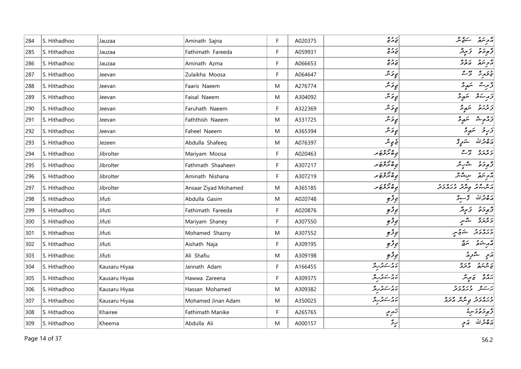| 284 | S. Hithadhoo | Jauzaa        | Aminath Sajna        | $\mathsf F$ | A020375 | پر ژبځ                             | سەق بىگە                                        | أأرمر ترة                                      |
|-----|--------------|---------------|----------------------|-------------|---------|------------------------------------|-------------------------------------------------|------------------------------------------------|
| 285 | S. Hithadhoo | Jauzaa        | Fathimath Fareeda    | F           | A059931 | ر و ه<br>ق پر نخ                   | تر مرتز                                         | و بر د<br>ترموز م                              |
| 286 | S. Hithadhoo | Jauzaa        | Aminath Azma         | F           | A066653 | ر و ه<br>قع پر سخ                  | ر و د<br>پر ځو گ                                | أأرمز                                          |
| 287 | S. Hithadhoo | Jeevan        | Zulaikha Moosa       | $\mathsf F$ | A064647 | ى <sub>يە</sub> ئەنگە              | دومثر                                           | ە ئەرگە<br>ئ                                   |
| 288 | S. Hithadhoo | Jeevan        | Faaris Naeem         | M           | A276774 | اي <sub>وح</sub> تقه               |                                                 | ۇبرت شەر                                       |
| 289 | S. Hithadhoo | Jeevan        | Faisal Naeem         | M           | A304092 | ىي <sub>ە</sub> ئەنگر              |                                                 | وَرَجَعَ سَمِدٍ                                |
| 290 | S. Hithadhoo | Jeevan        | Faruhath Naeem       | F           | A322369 | ى <sub>ي</sub> ئەرگە               |                                                 | ر در د شده                                     |
| 291 | S. Hithadhoo | Jeevan        | Faththish Naeem      | M           | A331725 | ى <sub>ي</sub> ئەرگە               | سَمِيرة                                         | ره موشو<br>قرا <i>ز</i> م                      |
| 292 | S. Hithadhoo | Jeevan        | Faheel Naeem         | M           | A365394 | يو ځو مثر                          | سَمِهِ رَ                                       | ى پەيىتى<br>كۆپەتتى                            |
| 293 | S. Hithadhoo | Jezeen        | Abdulla Shafeeq      | M           | A076397 | ع سمج مگر<br> ط                    | ڪو <sub>مي</sub> ٿو.                            | <mark>برە ت</mark> راللە                       |
| 294 | S. Hithadhoo | Jibrolter     | Mariyam Moosa        | F           | A020463 | ه ۵۵۰ در<br>د حامر ژخ مر           | حريم محر                                        | ر ه ر ه<br><del>و</del> بربرگر                 |
| 295 | S. Hithadhoo | Jibrolter     | Fathmath Shaaheen    | $\mathsf F$ | A307217 | مع هي جو ع سر<br>  مع هو حرائي معر | ىش <sup>ى</sup> ر بىر                           | ا تو جو <del>چ</del> ر جر<br>ا                 |
| 296 | S. Hithadhoo | Jibrolter     | Aminath Nishana      | F           | A307219 | ا په ۱۳۵۵ کېږي.<br>لره مرکز کامر   |                                                 | أأرد سرة المستكر الأراد                        |
| 297 | S. Hithadhoo | Jibrolter     | Ansaar Ziyad Mohamed | M           | A365185 | و <i>۵۵ و پر</i><br>مرگون کو       | גם שיך השיך רגם גר<br>גיית ייבאית שיתית המאורית |                                                |
| 298 | S. Hithadhoo | Jifuti        | Abdulla Gasim        | M           | A020748 | وگوح                               |                                                 | رُهُ مَّرَاللَّهُ تَحْ َ وَ                    |
| 299 | S. Hithadhoo | Jifuti        | Fathimath Fareeda    | F           | A020876 | وگوح                               |                                                 | قرموخرة وتبيتر                                 |
| 300 | S. Hithadhoo | Jifuti        | Mariyam Shaney       | $\mathsf F$ | A307550 | وگوح                               | مشگرسر                                          | ر ه ر ه<br><del>و</del> بربرو                  |
| 301 | S. Hithadhoo | Jifuti        | Mohamed Shazny       | M           | A307552 | وگوح                               | شەڭچ سىر                                        | و ره ر د<br><i>د ب</i> رگرفر                   |
| 302 | S. Hithadhoo | Jifuti        | Aishath Naja         | F           | A309195 | وگوح                               |                                                 |                                                |
| 303 | S. Hithadhoo | Jifuti        | Ali Shafiu           | ${\sf M}$   | A309198 | وگوح                               |                                                 | ړې شود                                         |
| 304 | S. Hithadhoo | Kausaru Hiyaa | Jannath Adam         | $\mathsf F$ | A166455 | ر ديگر تر پر<br>مور شو تر پر       | پە رە<br>مەنزۈ                                  | ر ہ ر د<br>فع سرسرچ                            |
| 305 | S. Hithadhoo | Kausaru Hiyaa | Hawwa Zareena        | $\mathsf F$ | A309375 | ر دېږې پېژبه تر                    |                                                 | برە ئەستىر ئىگر                                |
| 306 | S. Hithadhoo | Kausaru Hiyaa | Hassan Mohamed       | M           | A309382 | ر دير ديگر<br>مانده سنورگر         | يُرَ يَدُورُونَ                                 |                                                |
| 307 | S. Hithadhoo | Kausaru Hiyaa | Mohamed Jinan Adam   | M           | A350025 | ر ديگر مرکز مرکز                   | وره رو پر شر محمده                              |                                                |
| 308 | S. Hithadhoo | Khairee       | Fathimath Manike     | $\mathsf F$ | A265765 | تەمەسە<br>مەم                      |                                                 | و په پرور <sub>مور</sub> ءِ<br>اگر پور پور مور |
| 309 | S. Hithadhoo | Kheema        | Abdulla Ali          | M           | A000157 | رځيځ                               |                                                 | برە داللە كەمچ                                 |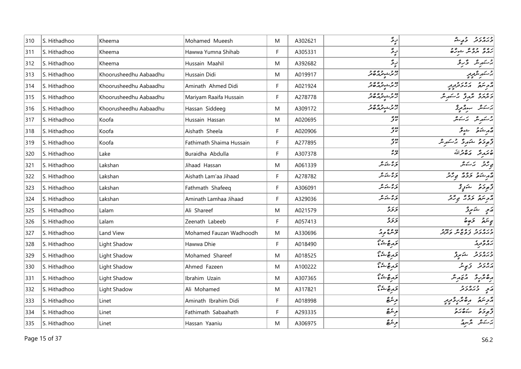| 310 | S. Hithadhoo | Kheema                 | Mohamed Mueesh           | M  | A302621 | نړنځ<br>نیم                                               | ورەرو وړيو                                                                                                                                                                                                                       |
|-----|--------------|------------------------|--------------------------|----|---------|-----------------------------------------------------------|----------------------------------------------------------------------------------------------------------------------------------------------------------------------------------------------------------------------------------|
| 311 | S. Hithadhoo | Kheema                 | Hawwa Yumna Shihab       | F. | A305331 | نرِرٌ                                                     | $\frac{22}{100}$ + 0 2 20 1                                                                                                                                                                                                      |
| 312 | S. Hithadhoo | Kheema                 | Hussain Maahil           | M  | A392682 | زيج                                                       | ير سكر مثل التحرير و                                                                                                                                                                                                             |
| 313 | S. Hithadhoo | Khoorusheedhu Aabaadhu | Hussain Didi             | M  | A019917 | دو د سر و د د د<br>  ز بر ش <sub>و</sub> تر <i>ه</i> ه تر | ر<br>پرڪبر سرپر مي <sub>ر</sub>                                                                                                                                                                                                  |
| 314 | S. Hithadhoo | Khoorusheedhu Aabaadhu | Aminath Ahmed Didi       | F  | A021924 | دو د عبد در د در<br>  زیمر شونروگرفت                      |                                                                                                                                                                                                                                  |
| 315 | S. Hithadhoo | Khoorusheedhu Aabaadhu | Mariyam Raaifa Hussain   | F  | A278778 | دو د مشو <i>تر ۸ ه تر</i><br>  <i>تر بر حد پر ۱۳۵۸</i>    | ב בתוכ בגן בריותיים                                                                                                                                                                                                              |
| 316 | S. Hithadhoo | Khoorusheedhu Aabaadhu | Hassan Siddeeg           | M  | A309172 | دد و سه در در د<br>زیر شوتروگاتر                          | ر ده مورد در در مورد کرده کردند که در این کردند که در کار در این کردند که در این کردند کردند کردند کردند کردند<br>مرکز کردند کردند کردند کردند کردند کردند کردند کردند کردند کردند کردند کردند کردند کردند کردند کردند کردند کرد |
| 317 | S. Hithadhoo | Koofa                  | Hussain Hassan           | M  | A020695 | تزمج                                                      | چەسىر سىر بەسىر                                                                                                                                                                                                                  |
| 318 | S. Hithadhoo | Koofa                  | Aishath Sheela           | F  | A020906 | تزمج                                                      | و ديگر شوگر                                                                                                                                                                                                                      |
| 319 | S. Hithadhoo | Koofa                  | Fathimath Shaima Hussain | F. | A277895 | تزمج                                                      | وتجوختم خركر فالتمرش                                                                                                                                                                                                             |
| 320 | S. Hithadhoo | Lake                   | Buraidha Abdulla         | F. | A307378 | ړه ه<br>مون                                               | قصر محمد الله                                                                                                                                                                                                                    |
| 321 | S. Hithadhoo | Lakshan                | Jihaad Hassan            | M  | A061339 | ىز ئەيشر                                                  | ا <sub>ع م</sub> رًى ئەسكەنتىر                                                                                                                                                                                                   |
| 322 | S. Hithadhoo | Lakshan                | Aishath Lam'aa Jihaad    | F  | A278782 | ىر ھەيئەيىر                                               |                                                                                                                                                                                                                                  |
| 323 | S. Hithadhoo | Lakshan                | Fathmath Shafeeq         | F  | A306091 | ىر ھەيئەيىر                                               | وتجوحكم المتورقي                                                                                                                                                                                                                 |
| 324 | S. Hithadhoo | Lakshan                | Aminath Lamhaa Jihaad    | F  | A329036 | ىر بۇ يېڭىر                                               | أأوسم تزور ورمي                                                                                                                                                                                                                  |
| 325 | S. Hithadhoo | Lalam                  | Ali Shareef              | M  | A021579 | خری                                                       | ړې خوبرو ک                                                                                                                                                                                                                       |
| 326 | S. Hithadhoo | Lalam                  | Zeenath Labeeb           | F. | A057413 | ىزىۋ                                                      | ي ئىگە ئىھ ق                                                                                                                                                                                                                     |
| 327 | S. Hithadhoo | Land View              | Mohamed Fauzan Wadhoodh  | M  | A330696 | ئۇنىڭ جەرگە                                               | وره ر و بره و ه بردود<br><mark>وبرمرونر نو</mark> ونبر فرقر                                                                                                                                                                      |
| 328 | S. Hithadhoo | Light Shadow           | Hawwa Dhie               | F. | A018490 | تخرر هج يميم م                                            | بره و ٌ مردگر                                                                                                                                                                                                                    |
| 329 | S. Hithadhoo | Light Shadow           | Mohamed Shareef          | M  | A018525 | ترریع شویم                                                | ورەرو شەرو                                                                                                                                                                                                                       |
| 330 | S. Hithadhoo | Light Shadow           | Ahmed Fazeen             | M  | A100222 | كرره شره                                                  | رەرد ئەيتر                                                                                                                                                                                                                       |
| 331 | S. Hithadhoo | Light Shadow           | Ibrahim Uzain            | M  | A307365 | تزريق شوم                                                 | مەھترىرى مىمكىر                                                                                                                                                                                                                  |
| 332 | S. Hithadhoo | Light Shadow           | Ali Mohamed              | M  | A317821 | خرج شيم                                                   | أتمرم وره رد                                                                                                                                                                                                                     |
| 333 | S. Hithadhoo | Linet                  | Aminath Ibrahim Didi     | F  | A018998 | وبئرهج                                                    | ومحافظ وكالمرباع ومرمر                                                                                                                                                                                                           |
| 334 | S. Hithadhoo | Linet                  | Fathimath Sabaahath      | F. | A293335 | مرشقح                                                     | بە ئەر د<br>و مر د<br>تر مو څرمو                                                                                                                                                                                                 |
| 335 | S. Hithadhoo | Linet                  | Hassan Yaaniu            | M  | A306975 | مرشرهح                                                    | يُرَسَدُ مَرَّسْهُ                                                                                                                                                                                                               |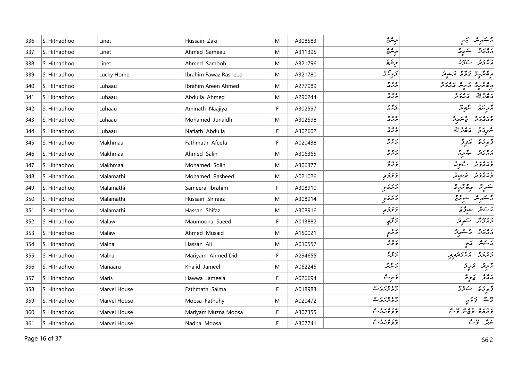| 336 | S. Hithadhoo | Linet        | Hussain Zaki          | M           | A308583 | مرشرهح                                 | ير سنهر مثر سمي<br>م                                                                                |
|-----|--------------|--------------|-----------------------|-------------|---------|----------------------------------------|-----------------------------------------------------------------------------------------------------|
| 337 | S. Hithadhoo | Linet        | Ahmed Sameeu          | M           | A311395 | مرشره                                  | رەرو سەچ                                                                                            |
| 338 | S. Hithadhoo | Linet        | Ahmed Samooh          | M           | A321796 | مرشره                                  | سەدد<br>بر ٥ پر ۶<br>د بر <del>و</del> تر                                                           |
| 339 | S. Hithadhoo | Lucky Home   | Ibrahim Fawaz Rasheed | M           | A321780 | تحريده                                 | رە ئرىر زۇق ئرىنون                                                                                  |
| 340 | S. Hithadhoo | Luhaau       | Ibrahim Areen Ahmed   | ${\sf M}$   | A277089 | و ه و<br>مورگ                          | معترجة كمبيش كمددور                                                                                 |
| 341 | S. Hithadhoo | Luhaau       | Abdulla Ahmed         | M           | A296244 | و ه و<br>نور در                        | وصالله<br>بر ٥ پر و<br>م <i>ر</i> بر <del>و</del> تر                                                |
| 342 | S. Hithadhoo | Luhaau       | Aminath Naajiya       | F           | A302597 | و ه و<br>مورگ                          | أأترسكم التكفير                                                                                     |
| 343 | S. Hithadhoo | Luhaau       | Mohamed Junaidh       | M           | A302598 | و ه و<br>نور در                        | כנים ניבי המניק                                                                                     |
| 344 | S. Hithadhoo | Luhaau       | Nafiath Abdulla       | F           | A302602 | و ه و<br>مور در                        | <i>متَّعْرِضُمَّ ضَ</i> قَعْدَاللَّهُ                                                               |
| 345 | S. Hithadhoo | Makhmaa      | Fathmath Afeefa       | F           | A020438 | ۇرۇ                                    | وَّجِوحَةُ صَوِرَّ                                                                                  |
| 346 | S. Hithadhoo | Makhmaa      | Ahmed Salih           | M           | A306365 | ۇرۇ                                    | رەرو ئور                                                                                            |
| 347 | S. Hithadhoo | Makhmaa      | Mohamed Solih         | M           | A306377 | ىزدە                                   | و ر ه ر د<br>تر پر ژ تر<br>سِدُورُ                                                                  |
| 348 | S. Hithadhoo | Malamathi    | Mohamed Rasheed       | M           | A021026 | 5 قرقر م                               | وره رو کرشونر<br><i>د بر د تر</i> کونر                                                              |
| 349 | S. Hithadhoo | Malamathi    | Sameera Ibrahim       | $\mathsf F$ | A308910 | إذنزذمو                                | سكوبة المقتربة                                                                                      |
| 350 | S. Hithadhoo | Malamathi    | Hussain Shiraaz       | M           | A308914 | إخرخرخو                                | چرىسىم ھەتتى ئى                                                                                     |
| 351 | S. Hithadhoo | Malamathi    | Hassan Shifaz         | M           | A308916 | وكمركزم                                | ىز كەش ھەر <i>ىيە ج</i>                                                                             |
| 352 | S. Hithadhoo | Malawi       | Maumoona Saeed        | F           | A013882 | ترتزِّي                                | رودو شهر من                                                                                         |
| 353 | S. Hithadhoo | Malawi       | Ahmed Musaid          | M           | A150021 | ترتزِّي                                | رەرو وگەر                                                                                           |
| 354 | S. Hithadhoo | Malha        | Hassan Ali            | M           | A010557 | ىز بۇرت                                | أيز ستاها أورمو                                                                                     |
| 355 | S. Hithadhoo | Malha        | Mariyam Ahmed Didi    | F           | A294655 | رەپ                                    | גפנים נפנים ביתונות<br>המחבר הגבותות                                                                |
| 356 | S. Hithadhoo | Manaaru      | Khalid Jameel         | M           | A062245 | ىر شرحه                                | رَّوِيْرُ نَے رِ                                                                                    |
| 357 | S. Hithadhoo | <b>Maris</b> | Hawwa Jameela         | F           | A026694 | ځېږمنه                                 | $\overline{\mathcal{Z}}$ $\overline{\mathcal{Z}}$ $\overline{\mathcal{Z}}$ $\overline{\mathcal{Z}}$ |
| 358 | S. Hithadhoo | Marvel House | Fathmath Salma        | $\mathsf F$ | A018983 | پر ، ه ، د و ه<br><del>و</del> و بورته | سەۋۇ<br>ۇ بوزىر                                                                                     |
| 359 | S. Hithadhoo | Marvel House | Moosa Fathuhy         | M           | A020472 | پر ، ه ، د و ه<br><del>و</del> و بورته | 251                                                                                                 |
| 360 | S. Hithadhoo | Marvel House | Mariyam Muzna Moosa   | F           | A307355 | په په ور د ه<br><del>ر</del> و بر بر ک | נ סנים כם זי חד זי<br>בינו <i>ניב</i> ביציות ביה                                                    |
| 361 | S. Hithadhoo | Marvel House | Nadha Moosa           | F           | A307741 | پر ، ه ر د ه<br><del>ر</del> و بر بر گ | سَرِ تَرُ حَمْ ک                                                                                    |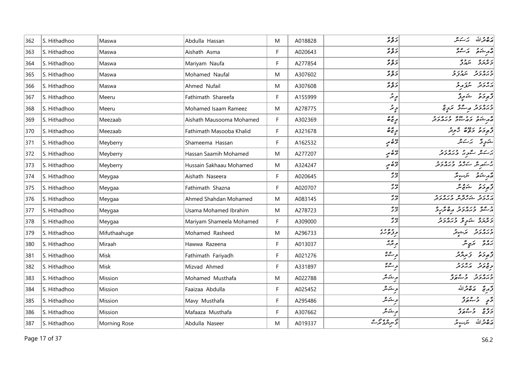| 362 | S. Hithadhoo | Maswa               | Abdulla Hassan           | M           | A018828 | ر ه و.<br>و څوگ                | رەقراللە ئەسكەر                                 |
|-----|--------------|---------------------|--------------------------|-------------|---------|--------------------------------|-------------------------------------------------|
| 363 | S. Hithadhoo | Maswa               | Aishath Asma             | F           | A020643 | ر ە د<br>قرۇر                  | أقدم شذه أتراضخ                                 |
| 364 | S. Hithadhoo | Maswa               | Mariyam Naufa            | F           | A277854 | ر ە ئە<br><b>5</b> قوم         | נים נים היבי<br>בינו <i>רי</i> ב ייט <i>ב</i> צ |
| 365 | S. Hithadhoo | Maswa               | Mohamed Naufal           | M           | A307602 | ترەپچ                          | ورەرو بەدىرو<br>جەمەدىي شمەۋى                   |
| 366 | S. Hithadhoo | Maswa               | Ahmed Nufail             | M           | A307608 | ر ه و<br>  <del>ر</del> ه و    | رەرو شۇرۇ                                       |
| 367 | S. Hithadhoo | Meeru               | Fathimath Shareefa       | F           | A155999 | حية تتر                        | أَرْجُوحَا وَسَيَبِرَّزُ                        |
| 368 | S. Hithadhoo | Meeru               | Mohamed Isaam Rameez     | M           | A278775 | حريمه                          |                                                 |
| 369 | S. Hithadhoo | Meezaab             | Aishath Mausooma Mohamed | F.          | A302369 | $\overset{\circ}{\varepsilon}$ | ه در در در در در در در در د                     |
| 370 | S. Hithadhoo | Meezaab             | Fathimath Masooba Khalid | F.          | A321678 | لحريج ه                        | وتجوحه حقاقة تزور                               |
| 371 | S. Hithadhoo | Meyberry            | Shameema Hassan          | F           | A162532 | ئەنجە بىر                      | شَرِدُ يَا يَا مَرْ                             |
| 372 | S. Hithadhoo | Meyberry            | Hassan Saamih Mohamed    | M           | A277207 |                                | ر کے مقرر درورد<br>برگور گردید وبرورد           |
| 373 | S. Hithadhoo | Meyberry            | Hussain Sakhaau Mohamed  | M           | A324247 |                                | ج س <sub>کو</sub> ره سکور وره رو                |
| 374 | S. Hithadhoo | Meygaa              | Aishath Naseera          | F           | A020645 | ی بود.<br>مرگ                  | أقهر مشكور الترسير                              |
| 375 | S. Hithadhoo | Meygaa              | Fathimath Shazna         | F           | A020707 | ی مح<br>حرمی                   | ۇ بەر ئەرەپ                                     |
| 376 | S. Hithadhoo | Meygaa              | Ahmed Shahdan Mohamed    | M           | A083145 | ی مح<br>حرمی                   | رەرد رەپە درەرد<br>مەدوم شەرىرىل <i>وبەم</i> وم |
| 377 | S. Hithadhoo | Meygaa              | Usama Mohamed Ibrahim    | M           | A278723 | چونخ<br>  حرمی                 | و موسود در در مرکز در                           |
| 378 | S. Hithadhoo | Meygaa              | Mariyam Shameela Mohamed | F.          | A309000 | ی بود.<br>مرگ                  | رەرو شەر ئەرەرد                                 |
| 379 | S. Hithadhoo | Mifuthaahuge        | Mohamed Rasheed          | M           | A296733 | اددة دين                       |                                                 |
| 380 | S. Hithadhoo | Miraah              | Hawwa Razeena            | F.          | A013037 | جرمركز                         | برەۋ بىرىپەتگە                                  |
| 381 | S. Hithadhoo | Misk                | Fathimath Fariyadh       | F           | A021276 | جرمشره                         | توجدة تربراز                                    |
| 382 | S. Hithadhoo | Misk                | Mizvad Ahmed             | $\mathsf F$ | A331897 | ادبقه                          | ومود ده دور                                     |
| 383 | S. Hithadhoo | Mission             | Mohamed Musthafa         | M           | A022788 | اربيدهر                        | وره د و و دره<br><i>وبرو</i> تر و جوز           |
| 384 | S. Hithadhoo | Mission             | Faaizaa Abdulla          | F           | A025452 | اريئه                          | قرمريح مكافقرالله                               |
| 385 | S. Hithadhoo | Mission             | Mavy Musthafa            | $\mathsf F$ | A295486 | اریہ چھ                        |                                                 |
| 386 | S. Hithadhoo | Mission             | Mafaaza Musthafa         | F           | A307662 | حە مىشكە                       | ىر ئەس<br>تەنۇبى<br>د ۱۵۷۵<br>تر سروگر          |
| 387 | S. Hithadhoo | <b>Morning Rose</b> | Abdulla Naseer           | M           | A019337 | ە بىر بىرى مى ھ                | رەقمەللە سىببىر                                 |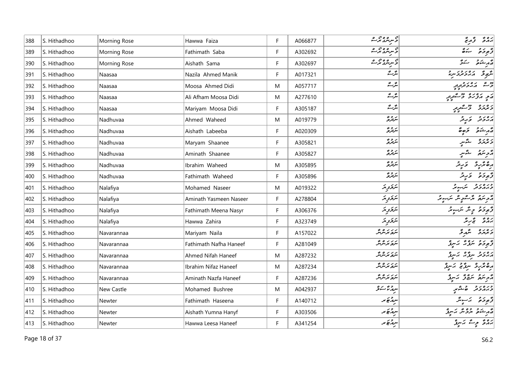| 388 | S. Hithadhoo | <b>Morning Rose</b> | Hawwa Faiza            | F           | A066877 | ام موروم می هم<br>د سرسر مرگ | برەپچ<br>ۇ رىج                                                                                                                                                                                                                  |
|-----|--------------|---------------------|------------------------|-------------|---------|------------------------------|---------------------------------------------------------------------------------------------------------------------------------------------------------------------------------------------------------------------------------|
| 389 | S. Hithadhoo | <b>Morning Rose</b> | Fathimath Saba         | $\mathsf F$ | A302692 | ە بىر بىرى مى ھ              | و مرد د<br>ارگې                                                                                                                                                                                                                 |
| 390 | S. Hithadhoo | <b>Morning Rose</b> | Aishath Sama           | F           | A302697 | <i>م سره وه م</i> ه          | أقدم شدة المستوفر                                                                                                                                                                                                               |
| 391 | S. Hithadhoo | Naasaa              | Nazila Ahmed Manik     | F           | A017321 | ىئرىئە                       | تربي ځې مربرو د تربي                                                                                                                                                                                                            |
| 392 | S. Hithadhoo | Naasaa              | Moosa Ahmed Didi       | M           | A057717 | ىئرىئە                       | دور مارد در در در در در مورد در مورد در این ایران در این کار در این کار در این کار در این کار در این کار در ای<br>در سال ۱۳۵۳ میلادی در این کار در این کار در این کار در این کار در این کار در این کار در این کار در این کار در |
| 393 | S. Hithadhoo | Naasaa              | Ali Afham Moosa Didi   | M           | A277610 | متَرْتَہُ                    | ر د د د د و د ځم                                                                                                                                                                                                                |
| 394 | S. Hithadhoo | Naasaa              | Mariyam Moosa Didi     | F           | A305187 | ىئرىشە                       | ر مده در عبد در در در مدار در این مدار در این این در این در این در این کار در این در این در این در این در این<br>این در این در این در این در این در این در این در این در این در این در این در این در این در این در این در این د |
| 395 | S. Hithadhoo | Nadhuvaa            | Ahmed Waheed           | M           | A019779 | ر و ر<br>سربرگ               | ړه دی کرېنځر                                                                                                                                                                                                                    |
| 396 | S. Hithadhoo | Nadhuvaa            | Aishath Labeeba        | F           | A020309 | ر و ه<br>سربرو               | $\frac{1}{60}$                                                                                                                                                                                                                  |
| 397 | S. Hithadhoo | Nadhuvaa            | Maryam Shaanee         | F           | A305821 | ر و ه<br>سربرو               | ر ه ر ه<br><del>و</del> بربرو<br>تھ بىر<br>شەر                                                                                                                                                                                  |
| 398 | S. Hithadhoo | Nadhuvaa            | Aminath Shaanee        | F           | A305827 | ر و ر<br>سربرگ               | ړځ سرچ<br>ه<br>مشر<br>په                                                                                                                                                                                                        |
| 399 | S. Hithadhoo | Nadhuvaa            | Ibrahim Waheed         | M           | A305895 | ر و ر<br>سربرگ               | مەھەر ئەر ئەر                                                                                                                                                                                                                   |
| 400 | S. Hithadhoo | Nadhuvaa            | Fathimath Waheed       | F           | A305896 | ر و ه<br>سربرو               | ومجموحه وكمياني                                                                                                                                                                                                                 |
| 401 | S. Hithadhoo | Nalafiya            | Mohamed Naseer         | M           | A019322 | يتزنو وتر                    | ورەرو شہر                                                                                                                                                                                                                       |
| 402 | S. Hithadhoo | Nalafiya            | Aminath Yasmeen Naseer | $\mathsf F$ | A278804 | يتزكز وتر                    | أدوسم أراد وبالمسترجد                                                                                                                                                                                                           |
| 403 | S. Hithadhoo | Nalafiya            | Fathimath Meena Nasyr  | F           | A306376 | يتزكز وتر                    | أو برو چنگ مرتبوند                                                                                                                                                                                                              |
| 404 | S. Hithadhoo | Nalafiya            | Hawwa Zahira           | F           | A323749 | يتزكو وكر                    | $\frac{2}{3}$ $\frac{2}{3}$ $\frac{2}{3}$                                                                                                                                                                                       |
| 405 | S. Hithadhoo | Navarannaa          | Mariyam Naila          | F           | A157022 | ىر بەر ھەيگە                 | و وره شهرگ                                                                                                                                                                                                                      |
| 406 | S. Hithadhoo | Navarannaa          | Fathimath Nafha Haneef | F           | A281049 | ىر يەر ھەيگە                 | ۇۋە ئۇڭ ئەير                                                                                                                                                                                                                    |
| 407 | S. Hithadhoo | Navarannaa          | Ahmed Nifah Haneef     | M           | A287232 | ىر يەر ەيخە<br>سرەر ئىرىش    | رورو سرد المسرو                                                                                                                                                                                                                 |
| 408 | S. Hithadhoo | Navarannaa          | Ibrahim Nifaz Haneef   | M           | A287234 | ىر ئەر ھەر ئە                | رە ئەرە سۆڭ ئەب                                                                                                                                                                                                                 |
| 409 | S. Hithadhoo | Navarannaa          | Aminath Nazfa Haneef   | F           | A287236 | ىر يەر ھەيگە                 | أأوسكم سماق أيسر                                                                                                                                                                                                                |
| 410 | S. Hithadhoo | New Castle          | Mohamed Bushree        | M           | A042937 | سرژ ژمئے کے                  | وره روح وهير                                                                                                                                                                                                                    |
| 411 | S. Hithadhoo | Newter              | Fathimath Haseena      | F           | A140712 | سرقر کھے سر                  | و موځ مړينه                                                                                                                                                                                                                     |
| 412 | S. Hithadhoo | Newter              | Aishath Yumna Hanyf    | F           | A303506 | سرچېمحد                      | و در دوم به سرو<br>مهر شوم مرد شر به سرو                                                                                                                                                                                        |
| 413 | S. Hithadhoo | Newter              | Hawwa Leesa Haneef     | F           | A341254 | سررتجا بر                    | روء پرت رس                                                                                                                                                                                                                      |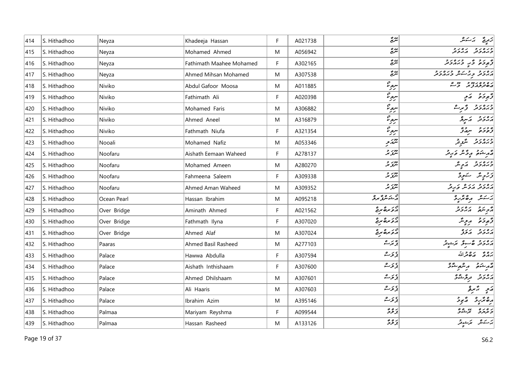| 414 | S. Hithadhoo | Neyza       | Khadeeja Hassan          | F         | A021738 | سرچ                       | زَمِرِيحَ   بَرَسَرْسُ              |
|-----|--------------|-------------|--------------------------|-----------|---------|---------------------------|-------------------------------------|
| 415 | S. Hithadhoo | Neyza       | Mohamed Ahmed            | M         | A056942 | سمج                       | כנסנכ נסנכ<br>כגמכנ הגבע            |
| 416 | S. Hithadhoo | Neyza       | Fathimath Maahee Mohamed | F         | A302165 | سرچ                       | أوجوده وبالمحدد ورود                |
| 417 | S. Hithadhoo | Neyza       | Ahmed Mihsan Mohamed     | M         | A307538 | سمج                       |                                     |
| 418 | S. Hithadhoo | Niviko      | Abdul Gafoor Moosa       | ${\sf M}$ | A011885 | سرجر<br>مرم               | נס כסנכבר כבילי<br>הסטניבה צייר     |
| 419 | S. Hithadhoo | Niviko      | Fathimath Ali            | F         | A020398 | سرجر<br>سرچر              | توجوجو المامي                       |
| 420 | S. Hithadhoo | Niviko      | Mohamed Faris            | M         | A306882 | سرجر                      | ورەرو ۋىرے                          |
| 421 | S. Hithadhoo | Niviko      | Ahmed Aneel              | M         | A316879 | سرجر<br>مرم               | גפניק הייקב                         |
| 422 | S. Hithadhoo | Niviko      | Fathmath Niufa           | F         | A321354 | سرجر<br>مرمر              | ودرد سردو                           |
| 423 | S. Hithadhoo | Nooali      | Mohamed Nafiz            | M         | A053346 | يتدمر                     | ورەر د شرقر                         |
| 424 | S. Hithadhoo | Noofaru     | Aishath Eemaan Waheed    | F         | A278137 | دور و<br>سرنۍ سر          | مەستىم بېرقىر قاياتى                |
| 425 | S. Hithadhoo | Noofaru     | Mohamed Ameen            | M         | A280270 | دور و<br>سرو بر           | دره در در پر                        |
| 426 | S. Hithadhoo | Noofaru     | Fahmeena Saleem          | F         | A309338 | دور و<br>سرتو بر          | زرې په پرې د                        |
| 427 | S. Hithadhoo | Noofaru     | Ahmed Aman Waheed        | M         | A309352 | دور و<br>سرتو بر          | נ סיני גבוע בנייק<br>גלבת גבות פנית |
| 428 | S. Hithadhoo | Ocean Pearl | Hassan Ibrahim           | M         | A095218 | ە ئەئىرى <i>مى ئىر</i> تى |                                     |
| 429 | S. Hithadhoo | Over Bridge | Aminath Ahmed            | F         | A021562 | م كو مرة مرقع<br> -       | أترجمني المتحدد                     |
| 430 | S. Hithadhoo | Over Bridge | Fathmath Ilyna           | F         | A307020 | پر <sub>حرم</sub> صرح     | قهوخو معبثه                         |
| 431 | S. Hithadhoo | Over Bridge | Ahmed Alaf               | M         | A307024 | <br>  پرء برھ برقم        | برەر دىرە                           |
| 432 | S. Hithadhoo | Paaras      | Ahmed Basil Rasheed      | M         | A277103 | ېژىمەت                    | رور و ځای کره ده.                   |
| 433 | S. Hithadhoo | Palace      | Hawwa Abdulla            | F         | A307594 | ېږېمنه                    | بروء رووالله                        |
| 434 | S. Hithadhoo | Palace      | Aishath Inthishaam       | F         | A307600 | ېږېږ                      | و مشرح مرسم مشرح                    |
| 435 | S. Hithadhoo | Palace      | Ahmed Dhilshaam          | M         | A307601 | دیخر شه                   | رەرد بروشۇ                          |
| 436 | S. Hithadhoo | Palace      | Ali Haaris               | ${\sf M}$ | A307603 | بۇ ئۆرگ                   | أوسمج بحسرهم                        |
| 437 | S. Hithadhoo | Palace      | Ibrahim Azim             | ${\sf M}$ | A395146 | ېز ئە                     |                                     |
| 438 | S. Hithadhoo | Palmaa      | Mariyam Reyshma          | F         | A099544 | پر بورنخ                  | ويومره<br>ى مەھەم<br>مۇسىئەم        |
| 439 | S. Hithadhoo | Palmaa      | Hassan Rasheed           | M         | A133126 | إزوء                      | ىزىسەش بىرىشوش                      |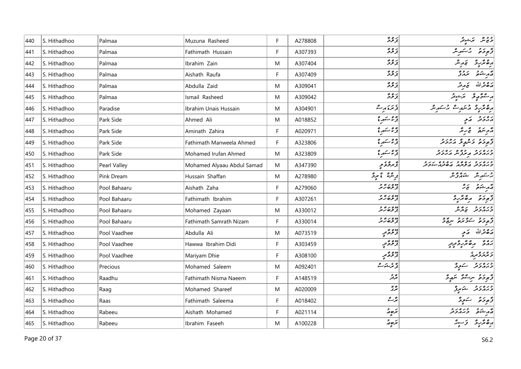| 440 | S. Hithadhoo | Palmaa       | Muzuna Rasheed             | F  | A278808 | إيره بو                                    | <br> دىم تىگە    ئىرىشونىر<br>                          |
|-----|--------------|--------------|----------------------------|----|---------|--------------------------------------------|---------------------------------------------------------|
| 441 | S. Hithadhoo | Palmaa       | Fathimath Hussain          | F. | A307393 | إبره بر                                    | و و د د سوړ شر                                          |
| 442 | S. Hithadhoo | Palmaa       | Ibrahim Zain               | M  | A307404 | بزود                                       |                                                         |
| 443 | S. Hithadhoo | Palmaa       | Aishath Raufa              | F  | A307409 | إزوع                                       | و ديده درود.<br>د کار شوه اسمدو                         |
| 444 | S. Hithadhoo | Palmaa       | Abdulla Zaid               | M  | A309041 | إيره بو                                    | برە دالله تم مرمز                                       |
| 445 | S. Hithadhoo | Palmaa       | Ismail Rasheed             | M  | A309042 | ر ه و<br>و تر                              | ر جۇرچى ئېرجىد                                          |
| 446 | S. Hithadhoo | Paradise     | Ibrahim Unais Hussain      | M  | A304901 | بزئدۂ مرت                                  | השתיכ הית כ הבותית                                      |
| 447 | S. Hithadhoo | Park Side    | Ahmed Ali                  | M  | A018852 | ېژن <sup>ن</sup> ستهر ؟<br>د               |                                                         |
| 448 | S. Hithadhoo | Park Side    | Aminath Zahira             | F  | A020971 | ابوء سندبو                                 |                                                         |
| 449 | S. Hithadhoo | Park Side    | Fathimath Manweela Ahmed   | F. | A323806 | دېم شمېر ؟                                 | أزوده وسموته مدومه                                      |
| 450 | S. Hithadhoo | Park Side    | Mohamed Irufan Ahmed       | M  | A323809 | قرع سئور ؟                                 | ورەر د دوه رەرد                                         |
| 451 | S. Hithadhoo | Pearl Valley | Mohamed Alyaau Abdul Samad | M  | A347390 | أرسوء ي                                    | 1970 1980 1980 1970<br>כממכת היכחה הסתה-יכת             |
| 452 | S. Hithadhoo | Pink Dream   | Hussain Shaffan            | M  | A278980 | برىدرو ، ئاپرۇ                             | جر سەر سىر ئەر ئەر                                      |
| 453 | S. Hithadhoo | Pool Bahaaru | Aishath Zaha               | F  | A279060 | دو ه ر و و<br>  بی نو ت تر بر              | و المراسط المحمد المن الم                               |
| 454 | S. Hithadhoo | Pool Bahaaru | Fathimath Ibrahim          | F  | A307261 | دد ه د ر و د<br>بر مرده ر سر               | أزجوحه مصريره                                           |
| 455 | S. Hithadhoo | Pool Bahaaru | Mohamed Zayaan             | M  | A330012 | دده ر بر د<br>بر <del>تر</del> ن تر        | כנסנכ נמס                                               |
| 456 | S. Hithadhoo | Pool Bahaaru | Fathimath Samrath Nizam    | F. | A330014 | دده ر بر د<br>بر <del>ن</del> ر <i>ه ر</i> | توجده سومرد سرة                                         |
| 457 | S. Hithadhoo | Pool Vaadhee | Abdulla Ali                | M  | A073519 | وده بر<br>  پی څرخو تی <sub>پ</sub>        | برە دالله پرو                                           |
| 458 | S. Hithadhoo | Pool Vaadhee | Hawwa Ibrahim Didi         | F  | A303459 | دد ه ۶<br>بر نوع تړ                        | برەپچ<br>ەر ھەتئەر 2 دىرىر<br>بەر ھەتئەر 2 ئ            |
| 459 | S. Hithadhoo | Pool Vaadhee | Mariyam Dhie               | F. | A308100 | وده بر<br>از نردگ <sup>و</sup> پر          | ر ه ر ه ر ه                                             |
| 460 | S. Hithadhoo | Precious     | Mohamed Saleem             | M  | A092401 | ە ئەيئە يە                                 | ورەرو سەرو                                              |
| 461 | S. Hithadhoo | Raadhu       | Fathimath Nisma Naeem      | F  | A148519 | پوتر<br>بوتر                               | توجوخو الراعاة الكهرة                                   |
| 462 | S. Hithadhoo | Raag         | Mohamed Shareef            | M  | A020009 | پوه<br>بنري                                | ورەرو خىرۇ                                              |
| 463 | S. Hithadhoo | Raas         | Fathimath Saleema          | F  | A018402 | بڑے                                        | ۇپرۇش سۇرۇ                                              |
| 464 | S. Hithadhoo | Rabeeu       | Aishath Mohamed            | F. | A021114 | ر<br>برّەپر                                | و رە ر د<br><i>د بر</i> گرىز<br>پر ديگر د<br>مرکز مشوجو |
| 465 | S. Hithadhoo | Rabeeu       | Ibrahim Faseeh             | M  | A100228 | برەد                                       | وەتمزىر ئەسىر                                           |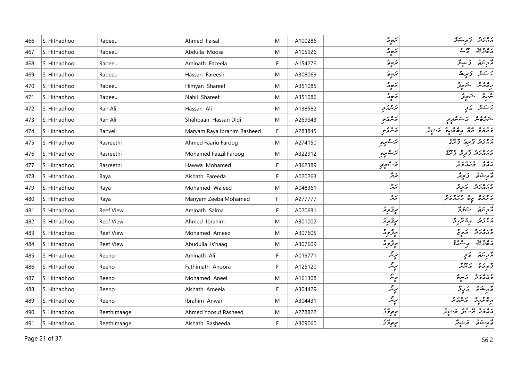| 466 | S. Hithadhoo | Rabeeu           | Ahmed Faisal                | M           | A100286 | پر په د                      | أرورو وكرجو                                                                                                                                                                                                                                                               |
|-----|--------------|------------------|-----------------------------|-------------|---------|------------------------------|---------------------------------------------------------------------------------------------------------------------------------------------------------------------------------------------------------------------------------------------------------------------------|
| 467 | S. Hithadhoo | Rabeeu           | Abdulla Moosa               | M           | A105926 | برَه د                       | 20 مرالله 2°ث                                                                                                                                                                                                                                                             |
| 468 | S. Hithadhoo | Rabeeu           | Aminath Fazeela             | F.          | A154276 | برَه د                       | أترجر تكريني                                                                                                                                                                                                                                                              |
| 469 | S. Hithadhoo | Rabeeu           | Hassan Fareesh              | M           | A308069 | برَه د                       | يزخش تزيريثه                                                                                                                                                                                                                                                              |
| 470 | S. Hithadhoo | Rabeeu           | Himyan Shareef              | Μ           | A351085 | پر په د                      | روژند ځېږ                                                                                                                                                                                                                                                                 |
| 471 | S. Hithadhoo | Rabeeu           | Nahil Shareef               | Μ           | A351086 | ر<br>برّەپر                  | شریرو شمیرو                                                                                                                                                                                                                                                               |
| 472 | S. Hithadhoo | Ran Ali          | Hassan Ali                  | M           | A138582 | برمهزىر                      | $\begin{array}{cc} \mathbf{1}_{\mathbf{1}_{\mathbf{1}}} & \mathbf{1}_{\mathbf{1}_{\mathbf{1}}} \\ \mathbf{1}_{\mathbf{1}_{\mathbf{1}}} & \mathbf{1}_{\mathbf{1}_{\mathbf{1}}} \\ \mathbf{1}_{\mathbf{1}_{\mathbf{1}}} & \mathbf{1}_{\mathbf{1}_{\mathbf{1}}} \end{array}$ |
| 473 | S. Hithadhoo | Ran Ali          | Shahbaan Hassan Didi        | M           | A269943 | برمهزمر                      | رەم ئەسكە ئەسكەرلىر                                                                                                                                                                                                                                                       |
| 474 | S. Hithadhoo | Ranveli          | Maryam Raya Ibrahim Rasheed | $\mathsf F$ | A283845 | برەء                         |                                                                                                                                                                                                                                                                           |
| 475 | S. Hithadhoo | Rasreethi        | Ahmed Faariu Faroog         | M           | A274150 | ىر شەبىرە<br>ئ <sup>ەر</sup> | رەرد ۋىرە ۋىدە                                                                                                                                                                                                                                                            |
| 476 | S. Hithadhoo | Rasreethi        | Mohamed Faazil Faroog       | M           | A322912 | پر کشمیر<br>                 | ورەرو ۋىرو ۋەدە                                                                                                                                                                                                                                                           |
| 477 | S. Hithadhoo | Rasreethi        | Hawwa Mohamed               | F           | A362389 | ائر شوہدہ<br>ائٹر شفیدہو     | נים בניםניב<br>ג'ולים בג'וליפיב                                                                                                                                                                                                                                           |
| 478 | S. Hithadhoo | Raya             | Aishath Fareeda             | F.          | A020263 | بربز                         | أشهر خنعى وتبرش                                                                                                                                                                                                                                                           |
| 479 | S. Hithadhoo | Raya             | Mohamed Waleed              | Μ           | A048361 | بزبز                         | ورەرو كەچەر                                                                                                                                                                                                                                                               |
| 480 | S. Hithadhoo | Raya             | Mariyam Zeeba Mohamed       | F           | A277777 | بتربر                        | נפנם שם כנסנב                                                                                                                                                                                                                                                             |
| 481 | S. Hithadhoo | <b>Reef View</b> | Aminath Salma               | F           | A020631 | ىر ۋە د <sup>ە</sup>         | أأروبتهم سنود                                                                                                                                                                                                                                                             |
| 482 | S. Hithadhoo | <b>Reef View</b> | Ahmed Ibrahim               | M           | A301002 | ىر ۋە د                      | رەرو مەھرىرو                                                                                                                                                                                                                                                              |
| 483 | S. Hithadhoo | <b>Reef View</b> | Mohamed Ameez               | M           | A307605 | لېږ ژو د<br>نو               | כנסנב גבב                                                                                                                                                                                                                                                                 |
| 484 | S. Hithadhoo | <b>Reef View</b> | Abudulla Is'haaq            | M           | A307609 | ىرىۋە د <sup>ە</sup>         | رەقراللە مەمۇر                                                                                                                                                                                                                                                            |
| 485 | S. Hithadhoo | Reeno            | Aminath Ali                 | F.          | A019771 | بيريثر                       | أترج سنعو أتأمي                                                                                                                                                                                                                                                           |
| 486 | S. Hithadhoo | Reeno            | Fathimath Anoora            | F           | A125120 | بيريثر                       | و و د در در د                                                                                                                                                                                                                                                             |
| 487 | S. Hithadhoo | Reeno            | Mohamed Aneel               | Μ           | A161308 | بيريثر                       | כגם גל האת                                                                                                                                                                                                                                                                |
| 488 | S. Hithadhoo | Reeno            | Aishath Ameela              | F.          | A304429 | بيبتكر                       | و د شوه د د د د                                                                                                                                                                                                                                                           |
| 489 | S. Hithadhoo | Reeno            | Ibrahim Anwar               | M           | A304431 | بىيە                         |                                                                                                                                                                                                                                                                           |
| 490 | S. Hithadhoo | Reethimaage      | Ahmed Yoosuf Rasheed        | M           | A278822 | ہے<br> سرح دی<br>گے          | ره رو دو وه<br>در دو دو وه مرشوندگر<br>در در در دو                                                                                                                                                                                                                        |
| 491 | S. Hithadhoo | Reethimaage      | Aishath Rasheeda            | F           | A309060 | یوه وی<br>توم                | أقهر مشكوهم المخرمشوقكر                                                                                                                                                                                                                                                   |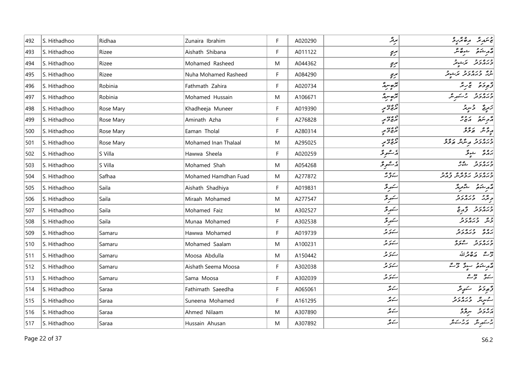| 492 | S. Hithadhoo | Ridhaa    | Zunaira Ibrahim      | F  | A020290 | ىرىتر                            |                                                   |
|-----|--------------|-----------|----------------------|----|---------|----------------------------------|---------------------------------------------------|
| 493 | S. Hithadhoo | Rizee     | Aishath Shibana      | F. | A011122 | مرسح                             | ۇرىشكۇ شوقەتگر                                    |
| 494 | S. Hithadhoo | Rizee     | Mohamed Rasheed      | M  | A044362 | مرسح                             | وره رو گرشونگر                                    |
| 495 | S. Hithadhoo | Rizee     | Nuha Mohamed Rasheed | F. | A084290 | مرسح                             | وه وره دو ر<br>سربر وبر دو مرشوتر                 |
| 496 | S. Hithadhoo | Robinia   | Fathmath Zahira      | F  | A020734 | برەسر                            | قرموخرة تتجربته                                   |
| 497 | S. Hithadhoo | Robinia   | Mohamed Hussain      | M  | A106671 | لترجيبه                          | ورەرو برخىرىر                                     |
| 498 | S. Hithadhoo | Rose Mary | Khadheeja Muneer     | F  | A019390 | ە ەء،<br>ئىرىنى <del>5</del> ئىي | دَمِيعٌ وَسِيمٌ                                   |
| 499 | S. Hithadhoo | Rose Mary | Aminath Azha         | F  | A276828 | 0 ه ۵۵<br>مربع تر سمپ            | أزوينهم أروع                                      |
| 500 | S. Hithadhoo | Rose Mary | Eaman Tholal         | F  | A280314 | 0 ه ء ۽<br>مربح 5 مړ             | أروش وقرقر                                        |
| 501 | S. Hithadhoo | Rose Mary | Mohamed Inan Thalaal | M  | A295025 | 0 ه ء ۽<br>مربح 5 مړ             | ورەر دېم پروگو                                    |
| 502 | S. Hithadhoo | S Villa   | Hawwa Sheela         | F  | A020259 | ۇ سىمو قە                        | ) يەرگە سىمىگە                                    |
| 503 | S. Hithadhoo | S Villa   | Mohamed Shah         | M  | A054268 | ې مە <sub>ھم</sub> ۇ             | ورەر دەر ئە                                       |
| 504 | S. Hithadhoo | Safhaa    | Mohamed Hamdhan Fuad | M  | A277872 | بەد بۇ                           | وره ر د د ره په د ود د<br>د بربرونر برونرس و برنر |
| 505 | S. Hithadhoo | Saila     | Aishath Shadhiya     | F  | A019831 | سەرىۋ                            | د<br>د کرد کو شورگر                               |
| 506 | S. Hithadhoo | Saila     | Miraah Mohamed       | M  | A277547 | سەرىتى                           | ويمرز وره دو                                      |
| 507 | S. Hithadhoo | Saila     | Mohamed Faiz         | M  | A302527 | سەرىۋ                            | وره رو په ه                                       |
| 508 | S. Hithadhoo | Saila     | Munaa Mohamed        | F  | A302538 | سەرىۋ                            | و میں در در د<br>دس کے برمار فر                   |
| 509 | S. Hithadhoo | Samaru    | Hawwa Mohamed        | F. | A019739 | سە ئەسىر                         | رەپ درەرد<br>بەھ <i>ב</i> بەمرىر                  |
| 510 | S. Hithadhoo | Samaru    | Mohamed Saalam       | M  | A100231 | سەدىر                            | ورەر د مەرە<br><i>دىدە</i> رىر سىۋر               |
| 511 | S. Hithadhoo | Samaru    | Moosa Abdulla        | M  | A150442 | سەخەتىر                          | فرسته وكافقرالله                                  |
| 512 | S. Hithadhoo | Samaru    | Aishath Seema Moosa  | F  | A302038 | سەخەتىر                          | أورشني سوفر والمع                                 |
| 513 | S. Hithadhoo | Samaru    | Sama Moosa           | F  | A302039 | سە ئەسىر                         | $23 - 22$                                         |
| 514 | S. Hithadhoo | Saraa     | Fathimath Saeedha    | F  | A065061 | سەپىر                            | قُهْ وَحَمْ سَنَ اللَّهِ مِنْ                     |
| 515 | S. Hithadhoo | Saraa     | Suneena Mohamed      | F  | A161295 | سەتە                             | سميريگر ورورو                                     |
| 516 | S. Hithadhoo | Saraa     | Ahmed Nilaam         | M  | A307890 | سەپىر                            | رەرد سرگە                                         |
| 517 | S. Hithadhoo | Saraa     | Hussain Ahusan       | M  | A307892 | سەپىر                            | برستهر شرار براز براند مر                         |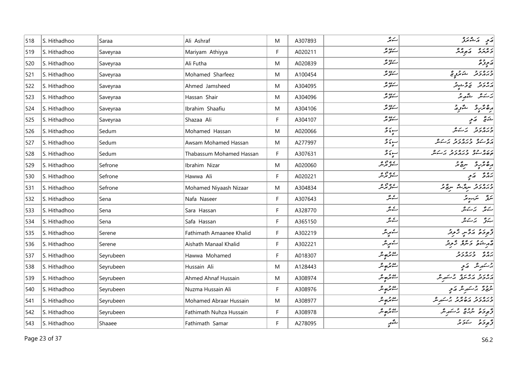| 518 | S. Hithadhoo | Saraa     | Ali Ashraf               | ${\sf M}$ | A307893 | سەپىر                           | ەكىيە ئەسىھىمىتى<br>ئ            |
|-----|--------------|-----------|--------------------------|-----------|---------|---------------------------------|----------------------------------|
| 519 | S. Hithadhoo | Saveyraa  | Mariyam Athiyya          | F         | A020211 | ر ، ،<br>سنوگانگر               | ر ه ر ه<br>د بربرو<br>ەبورىژ     |
| 520 | S. Hithadhoo | Saveyraa  | Ali Futha                | M         | A020839 | ر ،، پ<br>سوء س                 | پر و و پر                        |
| 521 | S. Hithadhoo | Saveyraa  | Mohamed Sharfeez         | M         | A100454 | ر ړر پر<br>ستونو تنز            | ورەرو شەرق                       |
| 522 | S. Hithadhoo | Saveyraa  | Ahmed Jamsheed           | M         | A304095 | ر ، ، ، »<br>سنوچ               | ره رو ده دو.<br>دربرو در فارسونر |
| 523 | S. Hithadhoo | Saveyraa  | Hassan Shair             | M         | A304096 | ر رو پژ<br>ستونو تنز            | ير سنڌ مش <sub>ھر</sub> ير       |
| 524 | S. Hithadhoo | Saveyraa  | Ibrahim Shaafiu          | ${\sf M}$ | A304106 | ر ، ، پ<br>سوء س                |                                  |
| 525 | S. Hithadhoo | Saveyraa  | Shazaa Ali               | F         | A304107 | ر ن پر<br>سوه بو                | شَدَیَمْ - ایرکمی                |
| 526 | S. Hithadhoo | Sedum     | Mohamed Hassan           | ${\sf M}$ | A020066 | سيؤخر                           | ورەرو برىش                       |
| 527 | S. Hithadhoo | Sedum     | Awsam Mohamed Hassan     | M         | A277997 | سيزه                            | ره ره دره رو رکنگ                |
| 528 | S. Hithadhoo | Sedum     | Thabassum Mohamed Hassan | F         | A307631 | سيذة                            |                                  |
| 529 | S. Hithadhoo | Sefrone   | Ibrahim Nizar            | ${\sf M}$ | A020060 | ے <i>و</i> محرمگر               | وەشرە سەتم                       |
| 530 | S. Hithadhoo | Sefrone   | Hawwa Ali                | F         | A020221 | ے <i>و</i> می مر                | $5.6\frac{201}{202}$             |
| 531 | S. Hithadhoo | Sefrone   | Mohamed Niyaash Nizaar   | M         | A304834 | ے <i>و</i> می عر                | כנסנב תואיל תואיל                |
| 532 | S. Hithadhoo | Sena      | Nafa Naseer              | F         | A307643 | ئەشر                            | لترتش الترسية بمر                |
| 533 | S. Hithadhoo | Sena      | Sara Hassan              | F         | A328770 | سەپىر                           | ستانتى الاستانتل                 |
| 534 | S. Hithadhoo | Sena      | Safa Hassan              | F         | A365150 | ئەشر                            | سۇق بۇسكىر                       |
| 535 | S. Hithadhoo | Serene    | Fathimath Amaanee Khalid | F         | A302219 | سەمبەيىگە                       | وموجو أروثير رجورة               |
| 536 | S. Hithadhoo | Serene    | Aishath Manaal Khalid    | F         | A302221 | سكومير                          | وأرجاح والروا والمحمو            |
| 537 | S. Hithadhoo | Seyrubeen | Hawwa Mohamed            | F         | A018307 | ر، ده مر<br>سوبره مر            | ره دره دور<br>پهرو وبهرونر       |
| 538 | S. Hithadhoo | Seyrubeen | Hussain Ali              | ${\sf M}$ | A128443 | ں جو چو پھر<br>سنو <i>پر چ</i>  | يز ستهر شه الأستر الم            |
| 539 | S. Hithadhoo | Seyrubeen | Ahmed Ahnaf Hussain      | ${\sf M}$ | A308974 | ر، د ه<br>سوبره مر              | גפני גפנים להוקית                |
| 540 | S. Hithadhoo | Seyrubeen | Nuzma Hussain Ali        | F         | A308976 | ں جو ہو مگر<br>سنو پر صو        |                                  |
| 541 | S. Hithadhoo | Seyrubeen | Mohamed Abraar Hussain   | ${\sf M}$ | A308977 | ں جو چاہ<br>سنو <i>پر چ</i> اہر |                                  |
| 542 | S. Hithadhoo | Seyrubeen | Fathimath Nuhza Hussain  | F         | A308978 | ر، د ه<br>سوبره مر              | توجوحو يرزئج برسكريمر            |
| 543 | S. Hithadhoo | Shaaee    | Fathimath Samar          | F         | A278095 | ڪُمر                            | أوجوده سنرد                      |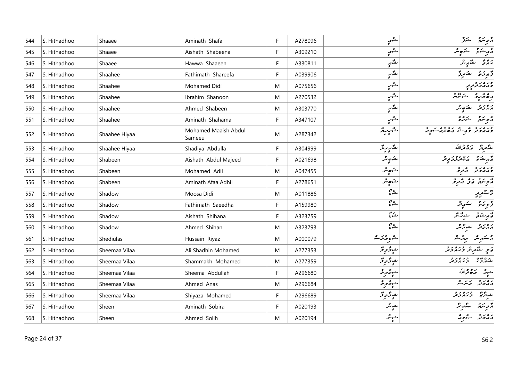| 544 | S. Hithadhoo | Shaaee        | Aminath Shafa                  | F  | A278096 | يثمر                                | أثر حريجة<br>ے تھوگر                                                                                                                                                                                                             |
|-----|--------------|---------------|--------------------------------|----|---------|-------------------------------------|----------------------------------------------------------------------------------------------------------------------------------------------------------------------------------------------------------------------------------|
| 545 | S. Hithadhoo | Shaaee        | Aishath Shabeena               | F  | A309210 | استھیں<br>استعم                     | ة مرشوقو سنوماتش<br>أمام شوماتشو<br>برونو سنوم س                                                                                                                                                                                 |
| 546 | S. Hithadhoo | Shaaee        | Hawwa Shaaeen                  | F  | A330811 | يدمجم                               | ڪُم <i>ر پڻ</i> ر                                                                                                                                                                                                                |
| 547 | S. Hithadhoo | Shaahee       | Fathimath Shareefa             | F. | A039906 | ىشترىيە                             | ا تۇ ھېرىر تە<br>شەَ مورَّ                                                                                                                                                                                                       |
| 548 | S. Hithadhoo | Shaahee       | Mohamed Didi                   | M  | A075656 | ے محمد<br>خ                         | ر در ه ر و ورور<br>د بر بر و ترتویو                                                                                                                                                                                              |
| 549 | S. Hithadhoo | Shaahee       | Ibrahim Shanoon                | M  | A270532 | ىشترىيە                             | ם מים היותר בין היותר בין היותר בין היותר בין היותר בין היותר בין היותר בין היותר בין היום בין היום בין היום ל<br>קיים מים היום היום בין היום בין היום היום היום היום היום היום היום בין היום בין היום בין היום בין היום בין היו |
| 550 | S. Hithadhoo | Shaahee       | Ahmed Shabeen                  | M  | A303770 | ے محمد<br>پر                        | رەرد شومىر                                                                                                                                                                                                                       |
| 551 | S. Hithadhoo | Shaahee       | Aminath Shahama                | F  | A347107 | مشتمر                               | أأوسكم فسيكر                                                                                                                                                                                                                     |
| 552 | S. Hithadhoo | Shaahee Hiyaa | Mohamed Maaish Abdul<br>Sameeu | M  | A287342 | ىشتەر بەرىتر<br>ئەس                 |                                                                                                                                                                                                                                  |
| 553 | S. Hithadhoo | Shaahee Hiyaa | Shadiya Abdulla                | F. | A304999 | ىش بەر بەر<br>ئ                     | أشورة مكافرالله                                                                                                                                                                                                                  |
| 554 | S. Hithadhoo | Shabeen       | Aishath Abdul Majeed           | F  | A021698 | ے کی مگر<br>خ                       |                                                                                                                                                                                                                                  |
| 555 | S. Hithadhoo | Shabeen       | Mohamed Adil                   | M  | A047455 | ے کی مگر<br>خ                       | وره رو در در در بالسنده بالسنده بالسنده بالسنده بالسنده بالسنده بالسنده بالسنده بالسنده بالسنده بالسنده بالسند<br>السندمان بالسندم بالسندم بالسندم بالسندم بالسندم بالسندم بالسندم بالسندم بالسندم بالسندم بالسندم بالسندم بالسن |
| 556 | S. Hithadhoo | Shabeen       | Aminath Afaa Adhil             | F. | A278651 | شەھ بىر                             | أأوسكم أأوالمح أأورقه                                                                                                                                                                                                            |
| 557 | S. Hithadhoo | Shadow        | Moosa Didi                     | M  | A011886 | يدمج                                | دو گرور<br>تر گرورور                                                                                                                                                                                                             |
| 558 | S. Hithadhoo | Shadow        | Fathimath Saeedha              | F. | A159980 | $\frac{\partial c}{\partial x^2}$   | و دو دروند.<br>توجوده خوش<br>مگر شوش شرکتگر                                                                                                                                                                                      |
| 559 | S. Hithadhoo | Shadow        | Aishath Shihana                | F  | A323759 | شوم                                 |                                                                                                                                                                                                                                  |
| 560 | S. Hithadhoo | Shadow        | Ahmed Shihan                   | M  | A323793 | شوم                                 | رەرد <sub>شو</sub> رگە<br>مەردىر ش <sub>و</sub> رگە                                                                                                                                                                              |
| 561 | S. Hithadhoo | Shediulas     | Hussain Riyaz                  | M  | A000079 | ىش <sub>ى</sub> ر قرىزىشە           | چرىكىرىكى ئېرىگەنگ                                                                                                                                                                                                               |
| 562 | S. Hithadhoo | Sheemaa Vilaa | Ali Shadhin Mohamed            | M  | A277353 | ىنى <sub>ۋ</sub> ۇ <sub>ھە</sub> ئۇ | أرو المتحرر وبرواد                                                                                                                                                                                                               |
| 563 | S. Hithadhoo | Sheemaa Vilaa | Shammakh Mohamed               | M  | A277359 | ىنىدۇر<br>ئ                         | شەھ ۋە<br>و ره ر و<br>تر <i>د</i> گرفتر                                                                                                                                                                                          |
| 564 | S. Hithadhoo | Sheemaa Vilaa | Sheema Abdullah                | F  | A296680 | ىنىدۇرىدۇ.<br>ئ                     | شوقت <mark>صَرصح</mark> دالله                                                                                                                                                                                                    |
| 565 | S. Hithadhoo | Sheemaa Vilaa | Ahmed Anas                     | M  | A296684 | ىشو <i>دۇ ھ</i><br>ئ <sup>ۆ</sup>   | رەرد رىرگ                                                                                                                                                                                                                        |
| 566 | S. Hithadhoo | Sheemaa Vilaa | Shiyaza Mohamed                | F  | A296689 | ىشو <i>دۇ بو</i> گە<br>ئ            | و ره ر و<br><i>و پر</i> و تر<br>  شودگریخ<br>                                                                                                                                                                                    |
| 567 | S. Hithadhoo | Sheen         | Aminath Sobira                 | F. | A020193 | شومگر<br>پخ                         | أرمز<br>بثوثر                                                                                                                                                                                                                    |
| 568 | S. Hithadhoo | Sheen         | Ahmed Solih                    | M  | A020194 | ىشوىگر<br>ئى                        | رەر دېگرو                                                                                                                                                                                                                        |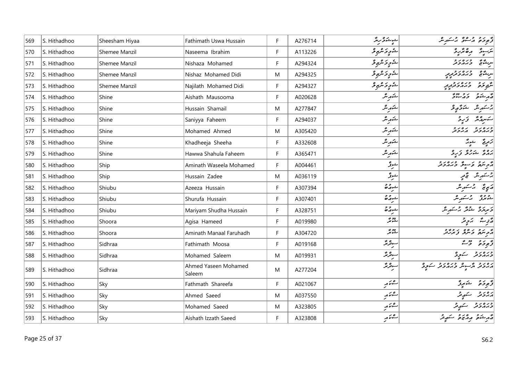| 569 | S. Hithadhoo | Sheesham Hiyaa | Fathimath Uswa Hussain         | F  | A276714 | ھوڪو 2 رگز                 | و دو ده و د سرگر                                  |
|-----|--------------|----------------|--------------------------------|----|---------|----------------------------|---------------------------------------------------|
| 570 | S. Hithadhoo | Shemee Manzil  | Naseema Ibrahim                | F  | A113226 | شوچە شهور                  |                                                   |
| 571 | S. Hithadhoo | Shemee Manzil  | Nishaza Mohamed                | F  | A294324 | شوچە شرىر ۋ                | - <i>جره و</i> رو<br>- <i>جرگ</i> رڅوگر<br>سريشتج |
| 572 | S. Hithadhoo | Shemee Manzil  | Nishaz Mohamed Didi            | M  | A294325 | ڪو <sub>چ</sub> ر کريمو گر | سرشي وره رورور<br>سرشي وبردوترترتر                |
| 573 | S. Hithadhoo | Shemee Manzil  | Najilath Mohamed Didi          | F  | A294327 | ڪو <sub>چ</sub> و کريمو گر | بتروخوا وبرود وترمرمر                             |
| 574 | S. Hithadhoo | Shine          | Aishath Mausooma               | F  | A020628 | ڪوپر                       | د در دره دره<br>پردشوه و در دو                    |
| 575 | S. Hithadhoo | Shine          | Hussain Shamail                | M  | A277847 | ڪورنگر                     | جاسكريش الحكومي                                   |
| 576 | S. Hithadhoo | Shine          | Saniyya Faheem                 | F  | A294037 | ڪورنگر                     | أسكس ومرد                                         |
| 577 | S. Hithadhoo | Shine          | Mohamed Ahmed                  | M  | A305420 | ڪورىگر                     | כנסנכ נסנכ<br>כגמכת הגבת                          |
| 578 | S. Hithadhoo | Shine          | Khadheeja Sheeha               | F  | A332608 | ڪوريگر                     | تزمرقح سفويٌ                                      |
| 579 | S. Hithadhoo | Shine          | Hawwa Shahula Faheem           | F  | A365471 | ڪورىگر                     | $\frac{2}{3}$                                     |
| 580 | S. Hithadhoo | Ship           | Aminath Waseela Mohamed        | F  | A004461 | شوبۇ                       | أدوسم وسود ورودو                                  |
| 581 | S. Hithadhoo | Ship           | Hussain Zadee                  | M  | A036119 | شوبۇ                       | چەسىر مەھرىسى تېر<br>مەي ئەسىر ئەسىر              |
| 582 | S. Hithadhoo | Shiubu         | Azeeza Hussain                 | F  | A307394 | سنبوره                     |                                                   |
| 583 | S. Hithadhoo | Shiubu         | Shurufa Hussain                | F. | A307401 | شەرى<br>شەھە               | دوم ديگر مر                                       |
| 584 | S. Hithadhoo | Shiubu         | Mariyam Shudha Hussain         | F. | A328751 | شەرى                       |                                                   |
| 585 | S. Hithadhoo | Shoora         | Agisa Hameed                   | F. | A019980 | ية مجر                     | ۇ توپ ئەچەر                                       |
| 586 | S. Hithadhoo | Shoora         | Aminath Manaal Faruhadh        | F  | A304720 | ية مجر                     | أتربتهما والمروا والمحارج                         |
| 587 | S. Hithadhoo | Sidhraa        | Fathimath Moosa                | F  | A019168 | سىۋىرتىر                   | ژوده دم                                           |
| 588 | S. Hithadhoo | Sidhraa        | Mohamed Saleem                 | M  | A019931 | سىۋىر                      | ورەر ئەرو                                         |
| 589 | S. Hithadhoo | Sidhraa        | Ahmed Yaseen Mohamed<br>Saleem | M  | A277204 | سىزىتر                     | رەرد پر دەرد دىرەر ئور                            |
| 590 | S. Hithadhoo | Sky            | Fathmath Shareefa              | F  | A021067 | المشتمر                    | و دو خوړ ځينې<br>د دوه خوي د                      |
| 591 | S. Hithadhoo | Sky            | Ahmed Saeed                    | M  | A037550 | احقنقر                     |                                                   |
| 592 | S. Hithadhoo | Sky            | Mohamed Saeed                  | M  | A323805 | استمتع                     | وره د د در د<br>  د بر د د سوړند                  |
| 593 | S. Hithadhoo | Sky            | Aishath Izzath Saeed           | F. | A323808 | احقند                      | م و شده مردم و سکورتر                             |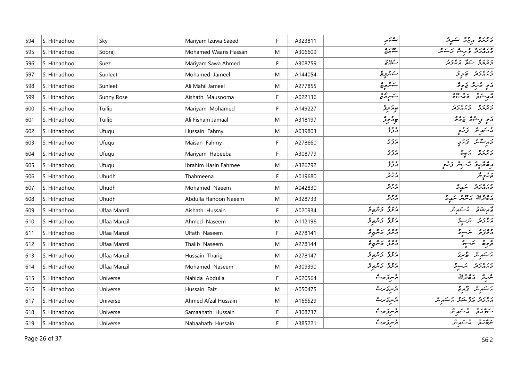| 594 | S. Hithadhoo | Sky          | Mariyam Izuwa Saeed   | F  | A323811 | استمعكم                        | כימתכ תיזל המקיל                                          |
|-----|--------------|--------------|-----------------------|----|---------|--------------------------------|-----------------------------------------------------------|
| 595 | S. Hithadhoo | Sooraj       | Mohamed Waaris Hassan | M  | A306609 | دو پر ہ<br>سنونو               | ورەرو ئېرىشى ئەسەش                                        |
| 596 | S. Hithadhoo | Suez         | Mariyam Sawa Ahmed    | F. | A308759 | و عده<br>سعور مح               | رەرە دە رەرد                                              |
| 597 | S. Hithadhoo | Sunleet      | Mohamed Jameel        | M  | A144054 | سەمرىي                         | دره رو در در                                              |
| 598 | S. Hithadhoo | Sunleet      | Ali Mahil Jameel      | M  | A277855 | سەمرىي                         | ړې د څر و نځ د پی                                         |
| 599 | S. Hithadhoo | Sunny Rose   | Aishath Mausooma      | F  | A022136 | سەسىرىمىقى                     | $\frac{27}{27}$ $\frac{2}{4}$ $\frac{2}{9}$ $\frac{4}{9}$ |
| 600 | S. Hithadhoo | Tuilip       | Mariyam Mohamed       | F  | A149227 | ھ م <sup>ر</sup> مرو<br>م      | נסנס כנסנכ<br><i>כאתב בג</i> ובע                          |
| 601 | S. Hithadhoo | Tuilip       | Ali Fisham Jamaal     | M  | A318197 | ھ م <sup>ح</sup> ر پر محر<br>م | أزو ويشو ودوه                                             |
| 602 | S. Hithadhoo | Ufuqu        | Hussain Fahmy         | M  | A039803 | و و و<br>مرنو تو               | چرىكى ئەرىپى<br>جاملىرىكى ئەرىپىي                         |
| 603 | S. Hithadhoo | Ufuqu        | Maisan Fahmy          | F. | A278660 | و و و<br>مرنو تو               |                                                           |
| 604 | S. Hithadhoo | Ufuqu        | Mariyam Habeeba       | F. | A308779 | و و و<br>مرتونځ                | $rac{2000}{7}$                                            |
| 605 | S. Hithadhoo | Ufuqu        | Ibrahim Hasin Fahmee  | M  | A326792 | و و و<br>مرتونځ                | ەھرو ئەسرىر زرد يەر<br>رەمزە ئەسرىر زرد يەر<br>مەردىئە    |
| 606 | S. Hithadhoo | Uhudh        | Thahmeena             | F  | A019680 | و و و<br>مرکب                  |                                                           |
| 607 | S. Hithadhoo | Uhudh        | Mohamed Naeem         | M  | A042830 | و و و<br>مرکز تعر              | כנסגב הל                                                  |
| 608 | S. Hithadhoo | Uhudh        | Abdulla Hanoon Naeem  | M  | A328733 | و و و<br>مرکب                  | أرەقراللە برىزىر سەرق                                     |
| 609 | S. Hithadhoo | Ulfaa Manzil | Aishath Hussain       | F  | A020934 | روژ دیمبرد                     | ۇرىشق ئەسكىرىش                                            |
| 610 | S. Hithadhoo | Ulfaa Manzil | Ahmed Naseem          | M  | A112196 | 23 - 3 متر ع                   | رەرو سەرو                                                 |
| 611 | S. Hithadhoo | Ulfaa Manzil | Ulfath Naseem         | F. | A278141 | روژ دیمبرد                     | وه رو در در<br>مرکزه سرسور                                |
| 612 | S. Hithadhoo | Ulfaa Manzil | Thalib Naseem         | M  | A278144 | روژ دیمبرو                     | ۾ً خرھ سَرَبِ وَ                                          |
| 613 | S. Hithadhoo | Ulfaa Manzil | Hussain Tharig        | M  | A278147 | رُوْرٌ دَ تَرْبُو وْ           | ج سەر شەھ بۇ بوق                                          |
| 614 | S. Hithadhoo | Ulfaa Manzil | Mohamed Naseem        | M  | A309390 | أرووس كالمراعر                 | ورەرو كرگو                                                |
| 615 | S. Hithadhoo | Universe     | Nahida Abdulla        | F  | A020564 | رسرهٔ مرث                      | <i>متَّرْبِةً مَ<b>صَّدَ</b>اللَّه</i>                    |
| 616 | S. Hithadhoo | Universe     | Hussain Faiz          | M  | A050475 | ەر سىرە ئىرىشە                 | يز سكر مشر المحرم محمد المحرم المحمد المحمد               |
| 617 | S. Hithadhoo | Universe     | Ahmed Afzal Hussain   | M  | A166529 | ەر سرە ئىرى                    | رەرد رەپرى جەسەر                                          |
| 618 | S. Hithadhoo | Universe     | Samaahath Hussain     | F. | A308737 | ترسرهٔ مرت                     | $9 - 2 - 3 - 3$                                           |
| 619 | S. Hithadhoo | Universe     | Nabaahath Hussain     | F  | A385221 | ەر سىرى بىرىشە                 | برورد ويهرش                                               |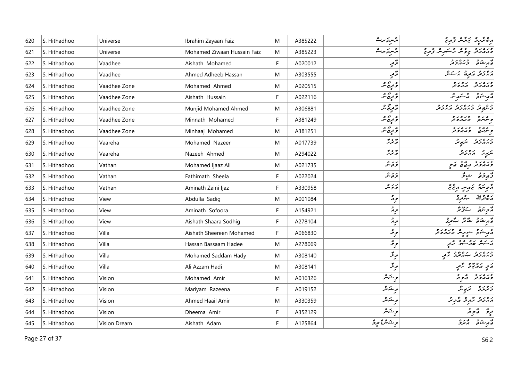| 620 | S. Hithadhoo | Universe     | Ibrahim Zayaan Faiz         | M  | A385222 | ترسرهٔ برت                          | رە ئەيرو ، ئار ئۇرى                                        |
|-----|--------------|--------------|-----------------------------|----|---------|-------------------------------------|------------------------------------------------------------|
| 621 | S. Hithadhoo | Universe     | Mohamed Ziwaan Hussain Faiz | M  | A385223 | رسرهٔ مرث                           | ورەرد برۇر رقسكرىگ ۋە ج                                    |
| 622 | S. Hithadhoo | Vaadhee      | Aishath Mohamed             | F. | A020012 | حٌسٍ                                | وكرمشتم وبروبر                                             |
| 623 | S. Hithadhoo | Vaadhee      | Ahmed Adheeb Hassan         | M  | A303555 | ر<br>ح <sup>5</sup> س               | رور و روه رکنگ                                             |
| 624 | S. Hithadhoo | Vaadhee Zone | Mohamed Ahmed               | M  | A020515 | ۇ يېڭ بىر<br>قۇمپى بىر              | כנסנכ נסנכ                                                 |
| 625 | S. Hithadhoo | Vaadhee Zone | Aishath Hussain             | F  | A022116 | ۇ مەم ھ<br>مۇ مەم مىر               | مەر ئىق بىر ئىسكىر بىر                                     |
| 626 | S. Hithadhoo | Vaadhee Zone | Munjid Mohamed Ahmed        | M  | A306881 | ۇ يېرى مىر<br>مۇ يېرى مىر           | وه و وره رو ره رو<br><mark>وسربي تر وبرمر</mark> ته مبروتر |
| 627 | S. Hithadhoo | Vaadhee Zone | Minnath Mohamed             | F. | A381249 | ۇ مەم بىر<br>مۇمۇمى                 | ב ייקיים - כן סיגר                                         |
| 628 | S. Hithadhoo | Vaadhee Zone | Minhaaj Mohamed             | M  | A381251 | ۇ مەم بىر<br>ق <sub>ەتت</sub> ىرىنى | و و در ورود                                                |
| 629 | S. Hithadhoo | Vaareha      | Mohamed Nazeer              | M  | A017739 | ر ر<br>حر مر ر                      | ورەر دېر ترېږ                                              |
| 630 | S. Hithadhoo | Vaareha      | Nazeeh Ahmed                | M  | A294022 | پە يەھ<br>ھەبىرىر                   | سَرِي حَمَدَ مَدَ مَدَ حَمَد                               |
| 631 | S. Hithadhoo | Vathan       | Mohamed Ijaaz Ali           | M  | A021735 | ر ر ه<br>عرض                        | وره د و موقع کمی                                           |
| 632 | S. Hithadhoo | Vathan       | Fathimath Sheela            | F  | A022024 | ر ر ه<br>ع <b>رم</b> ر              | وَّجْعِدَهُ شَوَدٌّ                                        |
| 633 | S. Hithadhoo | Vathan       | Aminath Zaini Ijaz          | F  | A330958 | ر ر ه<br>عرض                        |                                                            |
| 634 | S. Hithadhoo | View         | Abdulla Sadig               | M  | A001084 | حرثر                                | أرَة قرالله جَعَدِتْهِ                                     |
| 635 | S. Hithadhoo | View         | Aminath Sofoora             | F  | A154921 | حرجر                                | أثرم شروعه المردوع                                         |
| 636 | S. Hithadhoo | View         | Aishath Shaara Sodhig       | F  | A278104 | حرجر                                | مەر شوەر شۇنئر سۇرى                                        |
| 637 | S. Hithadhoo | Villa        | Aishath Sheereen Mohamed    | F  | A066830 | وِ تَح                              | ו<br>התלוח בילי היות המתכת                                 |
| 638 | S. Hithadhoo | Villa        | Hassan Bassaam Hadee        | M  | A278069 | حريحه                               | بر ره ده و د د و د                                         |
| 639 | S. Hithadhoo | Villa        | Mohamed Saddam Hady         | M  | A308140 | وِ تَح                              | ورەر دەرە دەپرى<br>دىرەرى جەرىرى گېر                       |
| 640 | S. Hithadhoo | Villa        | Ali Azzam Hadi              | M  | A308141 | ءِ تَرُ                             | أرو المادة المحمد المحمد                                   |
| 641 | S. Hithadhoo | Vision       | Mohamed Amir                | M  | A016326 | <sub>ح</sub> مشر شر                 |                                                            |
| 642 | S. Hithadhoo | Vision       | Mariyam Razeena             | F  | A019152 | ە پەيتىر ش                          | رەرە بەي ئى                                                |
| 643 | S. Hithadhoo | Vision       | Ahmed Haail Amir            | M  | A330359 | اريحقه                              | ړه د د شهری ځی په                                          |
| 644 | S. Hithadhoo | Vision       | Dheema Amir                 | F  | A352129 | ە پەيئەنىگە                         | ا مرد گر دیگر                                              |
| 645 | S. Hithadhoo | Vision Dream | Aishath Adam                | F  | A125864 | ا <sub>عر</sub> ىشەندى بېرى<br>س    | ه در وره<br><i>م</i> گرشتمو گرفتر                          |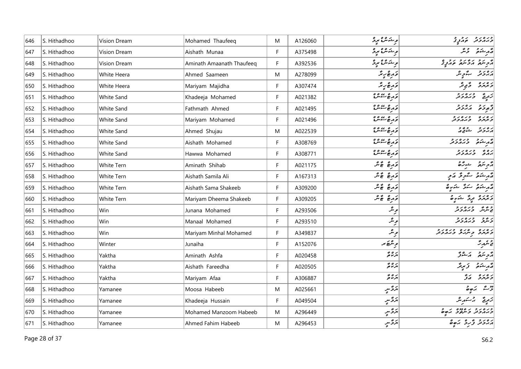| 646 | S. Hithadhoo | Vision Dream      | Mohamed Thaufeeq          | M  | A126060 | <br>  <sub>عر</sub> شەمىڭ مرچ                                                          | כי סי כי י כי לי ב                                        |
|-----|--------------|-------------------|---------------------------|----|---------|----------------------------------------------------------------------------------------|-----------------------------------------------------------|
| 647 | S. Hithadhoo | Vision Dream      | Aishath Munaa             | F. | A375498 | عبد عبد عبد عبد حرار م                                                                 | أوكر مشتور المحامر                                        |
| 648 | S. Hithadhoo | Vision Dream      | Aminath Amaanath Thaufeeq | F. | A392536 | <sub>عرىش</sub> ىش ئېر <sup>5</sup>                                                    | أأروبه والمحامدة والمحمدة                                 |
| 649 | S. Hithadhoo | White Heera       | Ahmed Saameen             | M  | A278099 | ەرھ بەتتە                                                                              | أرەر دېم بەر بەر                                          |
| 650 | S. Hithadhoo | White Heera       | Mariyam Majidha           | F  | A307474 | ر<br>وره په په                                                                         | ر گھ جگر<br>ر ه ر ه<br>تر <del>ب</del> ر بر ژ             |
| 651 | S. Hithadhoo | <b>White Sand</b> | Khadeeja Mohamed          | F  | A021382 |                                                                                        | و ر ه ر د<br>تر بر بر تر<br> ترموچؓ                       |
| 652 | S. Hithadhoo | <b>White Sand</b> | Fathmath Ahmed            | F  | A021495 | أقهرهم عقيقة                                                                           | و ده ده ده د                                              |
| 653 | S. Hithadhoo | <b>White Sand</b> | Mariyam Mohamed           | F. | A021496 | ئەرق شەھرە                                                                             | ر ه ر ه<br><del>ر</del> بربر ژ<br>و ر ه ر د<br>تر پر ژ تر |
| 654 | S. Hithadhoo | <b>White Sand</b> | Ahmed Shujau              | M  | A022539 | ئەرەپ يە ۋە                                                                            | ره رح در در<br>پرسرتر شو <sub>قع ه</sub>                  |
| 655 | S. Hithadhoo | <b>White Sand</b> | Aishath Mohamed           | F  | A308769 | ئەرھ سىمبىرى                                                                           | و ره ر و<br>تر پر ژنر<br>و در شو د                        |
| 656 | S. Hithadhoo | <b>White Sand</b> | Hawwa Mohamed             | F  | A308771 | ورقع سىمى                                                                              | برەپچ<br>و ره ر د<br><i>و پر د</i> تر                     |
| 657 | S. Hithadhoo | <b>White Tern</b> | Aminath Shihab            | F  | A021175 | $\begin{array}{cc} \hline \circ & \circ \\ \hline \circ & \circ \\ \hline \end{array}$ | أزويتهم بشرزة                                             |
| 658 | S. Hithadhoo | White Tern        | Aishath Samila Ali        | F  | A167313 | وَرِيح عَ سَر                                                                          | و ديدة شرقه دي                                            |
| 659 | S. Hithadhoo | <b>White Tern</b> | Aishath Sama Shakeeb      | F  | A309200 | تزریع ځینگ                                                                             | و المريد و المركز المستورية                               |
| 660 | S. Hithadhoo | <b>White Tern</b> | Mariyam Dheema Shakeeb    | F  | A309205 | تزريح تمجمر                                                                            | د ۱۳۷۶ درگر ځار ه                                         |
| 661 | S. Hithadhoo | Win               | Junana Mohamed            | F  | A293506 | عريثر                                                                                  | و مربر در در د<br>بے ترتگر او برابر <del>و</del> تر       |
| 662 | S. Hithadhoo | Win               | Manaal Mohamed            | F  | A293510 | حبشر                                                                                   | ر و د دره د و<br>ترس د بر د تر                            |
| 663 | S. Hithadhoo | Win               | Mariyam Minhal Mohamed    | F. | A349837 | امویثر                                                                                 | נסגם כמום כנסגב<br>כמחב כימוב כוחבת                       |
| 664 | S. Hithadhoo | Winter            | Junaiha                   | F  | A152076 | امويثيقيمه                                                                             | و ۽ پڻديڙ<br>م                                            |
| 665 | S. Hithadhoo | Yaktha            | Aminath Ashfa             | F  | A020458 | پره په                                                                                 | ۇ ئەسىرە ئەسىر                                            |
| 666 | S. Hithadhoo | Yaktha            | Aishath Fareedha          | F  | A020505 | پره و                                                                                  | أشرشتم وميقر                                              |
| 667 | S. Hithadhoo | Yaktha            | Mariyam Afaa              | F  | A306887 | ىر ەپ<br>پورى <sub>م</sub> ى                                                           | رەرە رە                                                   |
| 668 | S. Hithadhoo | Yamanee           | Moosa Habeeb              | M  | A025661 | <br> تروَّ میں                                                                         | $rac{2}{3}$ $rac{2}{3}$ $rac{2}{3}$                       |
| 669 | S. Hithadhoo | Yamanee           | Khadeeja Hussain          | F  | A049504 | ېز د ګېږ                                                                               | زَمِيعٌ = پُرْسَمَ سِرْ                                   |
| 670 | S. Hithadhoo | Yamanee           | Mohamed Manzoom Habeeb    | M  | A296449 | ېز د ګېږ                                                                               | 2 0230 1 21013<br>CLNCU CMBC 200                          |
| 671 | S. Hithadhoo | Yamanee           | Ahmed Fahim Habeeb        | M  | A296453 | ېر ځه سور<br>په                                                                        | رورد و دره نه ه                                           |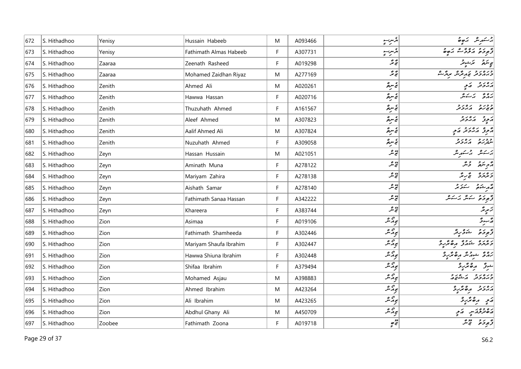| 672 | S. Hithadhoo | Yenisy | Hussain Habeeb                | M         | A093466 | یگر سورے<br>سر           | $\frac{2}{3}$                               |
|-----|--------------|--------|-------------------------------|-----------|---------|--------------------------|---------------------------------------------|
| 673 | S. Hithadhoo | Yenisy | <b>Fathimath Almas Habeeb</b> | F         | A307731 | ټر سرب<br><u>شرير ته</u> | $\frac{2}{600}$ $\frac{2}{3}$               |
| 674 | S. Hithadhoo | Zaaraa | Zeenath Rasheed               | F         | A019298 | یو می <sub>ر</sub>       | ىپ ئىر ئەسىر ئىرىسىز ئىراپىر<br>ئىسىر ئىسىر |
| 675 | S. Hithadhoo | Zaaraa | Mohamed Zaidhan Riyaz         | M         | A277169 | په پو                    | כנסנב התנאית תחלי                           |
| 676 | S. Hithadhoo | Zenith | Ahmed Ali                     | M         | A020261 | ۽ سرچ                    | أرور و كم ي                                 |
| 677 | S. Hithadhoo | Zenith | Hawwa Hassan                  | F         | A020716 | ۽ سرچ                    | برەپ برسكىر                                 |
| 678 | S. Hithadhoo | Zenith | Thuzuhath Ahmed               | F         | A161567 | ې سرچ<br>م               | و ور و بره رو<br>حوج رخ مرکز مر             |
| 679 | S. Hithadhoo | Zenith | Aleef Ahmed                   | ${\sf M}$ | A307823 | ې<br>نم <sup>سرچ</sup>   | پروژ پروژو                                  |
| 680 | S. Hithadhoo | Zenith | Aalif Ahmed Ali               | ${\sf M}$ | A307824 | ې سرچ<br>م               | أتزوي بره روا المتج                         |
| 681 | S. Hithadhoo | Zenith | Nuzuhath Ahmed                | F         | A309058 | ې سرچ                    | ا و و را و د و د و د و ا                    |
| 682 | S. Hithadhoo | Zeyn   | Hassan Hussain                | M         | A021051 | ى ھ<br>ئى                | برسك برسكرهر                                |
| 683 | S. Hithadhoo | Zeyn   | Aminath Muna                  | F         | A278122 | ى ھ<br>ئى                | أأترجع وتكر                                 |
| 684 | S. Hithadhoo | Zeyn   | Mariyam Zahira                | F         | A278138 | ى ھ<br>ئى                | د ۱۵ د صح بر مگر                            |
| 685 | S. Hithadhoo | Zeyn   | Aishath Samar                 | F         | A278140 | پی شر                    | وكرمشتمو كسترجر                             |
| 686 | S. Hithadhoo | Zeyn   | Fathimath Sanaa Hassan        | F         | A342222 | ىيە ھ<br>ئى              | ۋە دەپەت ئەسكە                              |
| 687 | S. Hithadhoo | Zeyn   | Khareera                      | F         | A383744 | ىيە ھ<br>ئى              |                                             |
| 688 | S. Hithadhoo | Zion   | Asimaa                        | F         | A019106 | ىبومىتىر                 | ويسبوقه                                     |
| 689 | S. Hithadhoo | Zion   | Fathimath Shamheeda           | F         | A302446 | لىي مركىگر               | و ده شورو                                   |
| 690 | S. Hithadhoo | Zion   | Mariyam Shaufa Ibrahim        | F         | A302447 | ىبومىتىر                 |                                             |
| 691 | S. Hithadhoo | Zion   | Hawwa Shiuna Ibrahim          | F         | A302448 | <br>  سی مهمد            | رە ئەسىر ئىر مەمگرى                         |
| 692 | S. Hithadhoo | Zion   | Shifaa Ibrahim                | F         | A379494 | ىبەمىگە                  | موتر رەئزىر                                 |
| 693 | S. Hithadhoo | Zion   | Mohamed Asjau                 | ${\sf M}$ | A398883 | ىبە چە بىر               | ورەرو كەشىرو                                |
| 694 | S. Hithadhoo | Zion   | Ahmed Ibrahim                 | ${\sf M}$ | A423264 | ېپموسر                   | גפנים הפיתיכ                                |
| 695 | S. Hithadhoo | Zion   | Ali Ibrahim                   | M         | A423265 | موهمثر                   | ړنو ره ټربرو                                |
| 696 | S. Hithadhoo | Zion   | Abdhul Ghany Ali              | M         | A450709 | ىبومىگر                  |                                             |
| 697 | S. Hithadhoo | Zoobee | Fathimath Zoona               | F         | A019718 | ود<br>مح مح              | توجد وديد                                   |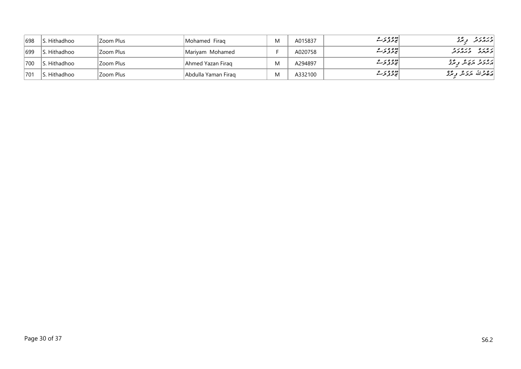| 698  | ، Hithadhoo   | Zoom Plus | Mohamed Firag       | M | A015837 | پروپوځيد | و ره ر د<br>د بر د تر<br>وبڑتی |
|------|---------------|-----------|---------------------|---|---------|----------|--------------------------------|
| 699  | .S. Hithadhoo | Zoom Plus | Marivam Mohamed     |   | A020758 | پروپوځيه | כמתם כנסנב<br>  כמתכ כמתכנ     |
| 700  | ، Hithadhoo   | Zoom Plus | Ahmed Yazan Firag   | M | A294897 | پروپوځيه | پره پر د بر په برخ و برخ       |
| 1701 | . Hithadhoo   | Zoom Plus | Abdulla Yaman Firag | M | A332100 | پروپوځيد | برەقراللە برىر مەيرى ئويترى    |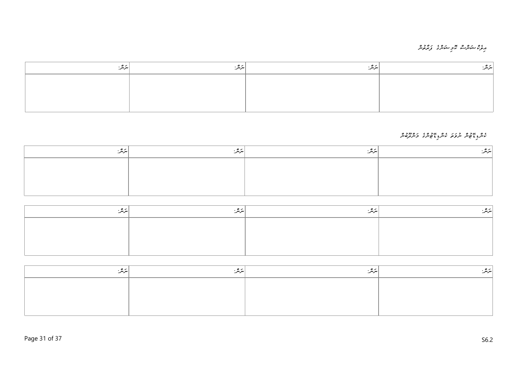## *w7qAn8m? sCw7mRo>u; wEw7mRw;sBo<*

| ' مرمر | 'يئرىثر: |
|--------|----------|
|        |          |
|        |          |
|        |          |

## *w7q9r@w7m> sCw7qHtFoFw7s; mAm=q7 w7qHtFoFw7s;*

| ىر تە | $\mathcal{O} \times$<br>$\sim$ | $\sim$<br>. . | لترنثر |
|-------|--------------------------------|---------------|--------|
|       |                                |               |        |
|       |                                |               |        |
|       |                                |               |        |

| $\frac{2}{n}$ | $^{\circ}$ | $\frac{2}{n}$ | $^{\circ}$<br>سرسر. |
|---------------|------------|---------------|---------------------|
|               |            |               |                     |
|               |            |               |                     |
|               |            |               |                     |

| ' ئىرتىر: | سر سر |  |
|-----------|-------|--|
|           |       |  |
|           |       |  |
|           |       |  |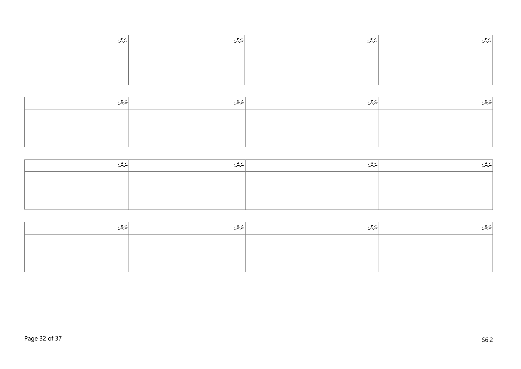| يزهر | $^{\circ}$ | ىئرىتر: |  |
|------|------------|---------|--|
|      |            |         |  |
|      |            |         |  |
|      |            |         |  |

| <sup>.</sup> سرسر. |  |
|--------------------|--|
|                    |  |
|                    |  |
|                    |  |

| ىئرىتر. | $\sim$ | ا بر هه. | لىرىش |
|---------|--------|----------|-------|
|         |        |          |       |
|         |        |          |       |
|         |        |          |       |

| 。<br>مرس. | $\overline{\phantom{a}}$<br>مر سر | يتريثر |
|-----------|-----------------------------------|--------|
|           |                                   |        |
|           |                                   |        |
|           |                                   |        |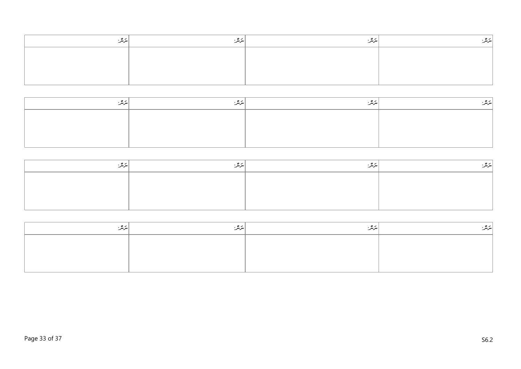| ير هو . | $\overline{\phantom{a}}$ | يرمر | اير هنه. |
|---------|--------------------------|------|----------|
|         |                          |      |          |
|         |                          |      |          |
|         |                          |      |          |

| ىر تىر: | $\circ$ $\sim$<br>" سرسر . | يبرحه | o . |
|---------|----------------------------|-------|-----|
|         |                            |       |     |
|         |                            |       |     |
|         |                            |       |     |

| انترنثر: | ر ه |  |
|----------|-----|--|
|          |     |  |
|          |     |  |
|          |     |  |

|  | . ه |
|--|-----|
|  |     |
|  |     |
|  |     |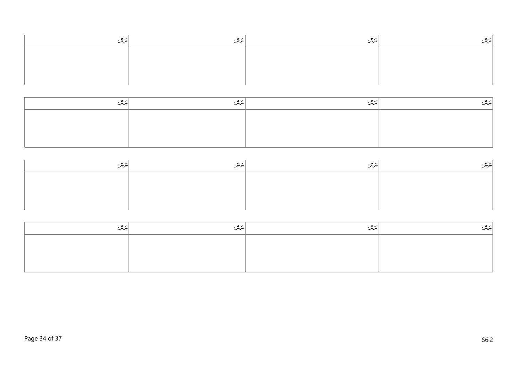| ير هو . | $\overline{\phantom{a}}$ | يرمر | اير هنه. |
|---------|--------------------------|------|----------|
|         |                          |      |          |
|         |                          |      |          |
|         |                          |      |          |

| ىر تىر: | $\circ$ $\sim$<br>" سرسر . | يبرحه | o . |
|---------|----------------------------|-------|-----|
|         |                            |       |     |
|         |                            |       |     |
|         |                            |       |     |

| الترنثر: | ' مرتكز: | الترنثر: | .,<br>سرسر. |
|----------|----------|----------|-------------|
|          |          |          |             |
|          |          |          |             |
|          |          |          |             |

|  | . ه |
|--|-----|
|  |     |
|  |     |
|  |     |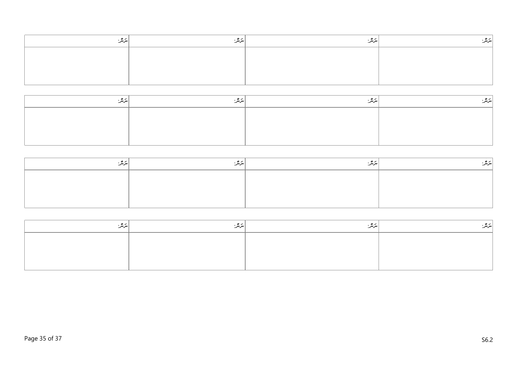| $\cdot$ | ο. | $\frac{\circ}{\cdot}$ | $\sim$<br>سرسر |
|---------|----|-----------------------|----------------|
|         |    |                       |                |
|         |    |                       |                |
|         |    |                       |                |

| ايرعر: | ر ه<br>. . |  |
|--------|------------|--|
|        |            |  |
|        |            |  |
|        |            |  |

| بر ه | 。 | $\overline{\phantom{0}}$<br>َ سومس. |  |
|------|---|-------------------------------------|--|
|      |   |                                     |  |
|      |   |                                     |  |
|      |   |                                     |  |

| 。<br>. س | ىرىىر |  |
|----------|-------|--|
|          |       |  |
|          |       |  |
|          |       |  |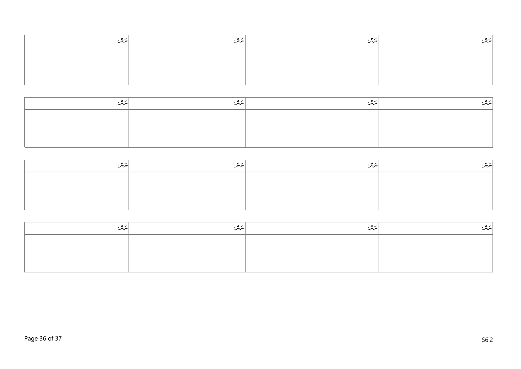| ير هو . | $\overline{\phantom{a}}$ | يرمر | لتزمثن |
|---------|--------------------------|------|--------|
|         |                          |      |        |
|         |                          |      |        |
|         |                          |      |        |

| ىر تىر: | $\circ$ $\sim$<br>" سرسر . | يبرحه | o . |
|---------|----------------------------|-------|-----|
|         |                            |       |     |
|         |                            |       |     |
|         |                            |       |     |

| انترنثر: | ر ه |  |
|----------|-----|--|
|          |     |  |
|          |     |  |
|          |     |  |

|  | . ه |
|--|-----|
|  |     |
|  |     |
|  |     |